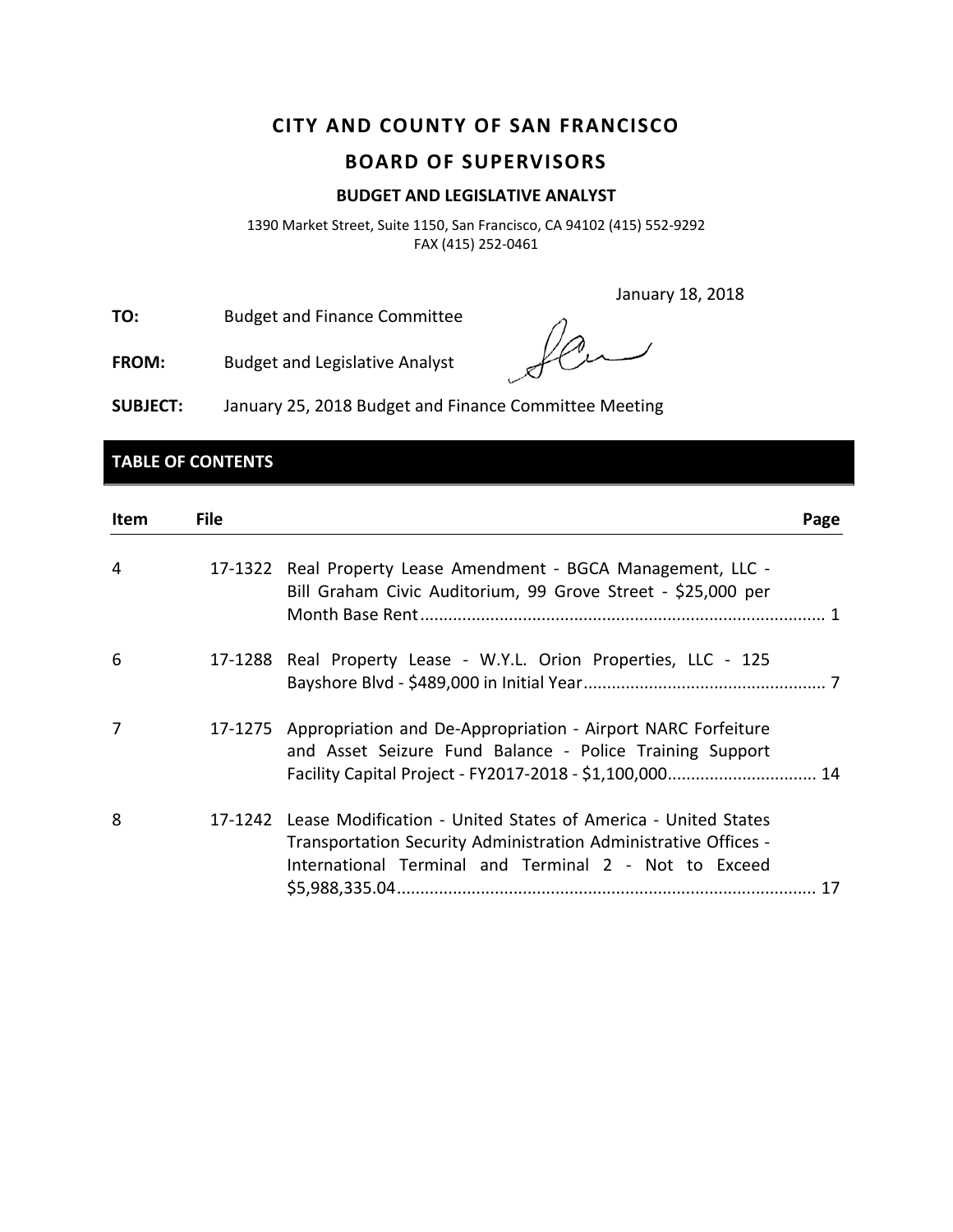# **CITY AND COUNTY OF SAN FRANCISCO**

# **BOARD OF SUPERVISORS**

#### **BUDGET AND LEGISLATIVE ANALYST**

1390 Market Street, Suite 1150, San Francisco, CA 94102 (415) 552‐9292 FAX (415) 252‐0461

January 18, 2018

**TO:** Budget and Finance Committee

**FROM:** Budget and Legislative Analyst

**SUBJECT:** January 25, 2018 Budget and Finance Committee Meeting

# **TABLE OF CONTENTS**

| Item | <b>File</b> |                                                                                                                                                                                                   | Page |
|------|-------------|---------------------------------------------------------------------------------------------------------------------------------------------------------------------------------------------------|------|
| 4    |             | 17-1322 Real Property Lease Amendment - BGCA Management, LLC -<br>Bill Graham Civic Auditorium, 99 Grove Street - \$25,000 per                                                                    |      |
| 6    |             | 17-1288 Real Property Lease - W.Y.L. Orion Properties, LLC - 125                                                                                                                                  |      |
| 7    |             | 17-1275 Appropriation and De-Appropriation - Airport NARC Forfeiture<br>and Asset Seizure Fund Balance - Police Training Support                                                                  |      |
| 8    |             | 17-1242 Lease Modification - United States of America - United States<br>Transportation Security Administration Administrative Offices -<br>International Terminal and Terminal 2 - Not to Exceed |      |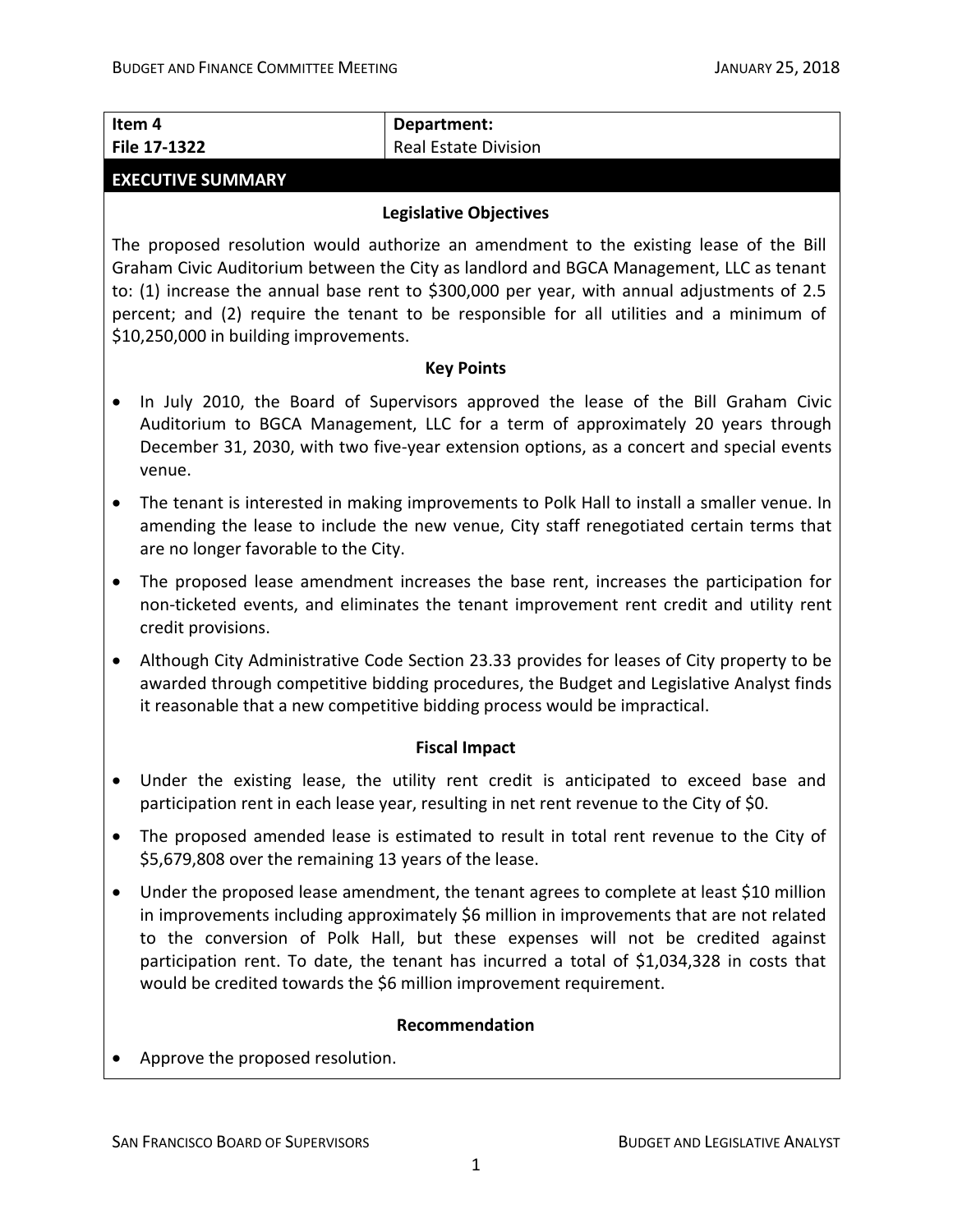| <b>Real Estate Division</b><br>File 17-1322<br><b>EXECUTIVE SUMMARY</b><br><b>Legislative Objectives</b><br>The proposed resolution would authorize an amendment to the existing lease of the Bill<br>Graham Civic Auditorium between the City as landlord and BGCA Management, LLC as tenant<br>to: (1) increase the annual base rent to \$300,000 per year, with annual adjustments of 2.5<br>percent; and (2) require the tenant to be responsible for all utilities and a minimum of<br>\$10,250,000 in building improvements.<br><b>Key Points</b><br>In July 2010, the Board of Supervisors approved the lease of the Bill Graham Civic<br>٠<br>Auditorium to BGCA Management, LLC for a term of approximately 20 years through<br>December 31, 2030, with two five-year extension options, as a concert and special events<br>venue.<br>The tenant is interested in making improvements to Polk Hall to install a smaller venue. In<br>$\bullet$<br>amending the lease to include the new venue, City staff renegotiated certain terms that<br>are no longer favorable to the City.<br>The proposed lease amendment increases the base rent, increases the participation for<br>٠<br>non-ticketed events, and eliminates the tenant improvement rent credit and utility rent<br>credit provisions.<br>Although City Administrative Code Section 23.33 provides for leases of City property to be<br>$\bullet$<br>awarded through competitive bidding procedures, the Budget and Legislative Analyst finds<br>it reasonable that a new competitive bidding process would be impractical.<br><b>Fiscal Impact</b><br>Under the existing lease, the utility rent credit is anticipated to exceed base and<br>participation rent in each lease year, resulting in net rent revenue to the City of \$0.<br>The proposed amended lease is estimated to result in total rent revenue to the City of<br>\$5,679,808 over the remaining 13 years of the lease.<br>Under the proposed lease amendment, the tenant agrees to complete at least \$10 million<br>in improvements including approximately \$6 million in improvements that are not related<br>to the conversion of Polk Hall, but these expenses will not be credited against<br>participation rent. To date, the tenant has incurred a total of \$1,034,328 in costs that<br>would be credited towards the \$6 million improvement requirement.<br>Recommendation<br>Approve the proposed resolution. |        |             |  |  |
|-----------------------------------------------------------------------------------------------------------------------------------------------------------------------------------------------------------------------------------------------------------------------------------------------------------------------------------------------------------------------------------------------------------------------------------------------------------------------------------------------------------------------------------------------------------------------------------------------------------------------------------------------------------------------------------------------------------------------------------------------------------------------------------------------------------------------------------------------------------------------------------------------------------------------------------------------------------------------------------------------------------------------------------------------------------------------------------------------------------------------------------------------------------------------------------------------------------------------------------------------------------------------------------------------------------------------------------------------------------------------------------------------------------------------------------------------------------------------------------------------------------------------------------------------------------------------------------------------------------------------------------------------------------------------------------------------------------------------------------------------------------------------------------------------------------------------------------------------------------------------------------------------------------------------------------------------------------------------------------------------------------------------------------------------------------------------------------------------------------------------------------------------------------------------------------------------------------------------------------------------------------------------------------------------------------------------------------------------------------------------------------------------------------------------------------------------------------------|--------|-------------|--|--|
|                                                                                                                                                                                                                                                                                                                                                                                                                                                                                                                                                                                                                                                                                                                                                                                                                                                                                                                                                                                                                                                                                                                                                                                                                                                                                                                                                                                                                                                                                                                                                                                                                                                                                                                                                                                                                                                                                                                                                                                                                                                                                                                                                                                                                                                                                                                                                                                                                                                                 | Item 4 | Department: |  |  |
|                                                                                                                                                                                                                                                                                                                                                                                                                                                                                                                                                                                                                                                                                                                                                                                                                                                                                                                                                                                                                                                                                                                                                                                                                                                                                                                                                                                                                                                                                                                                                                                                                                                                                                                                                                                                                                                                                                                                                                                                                                                                                                                                                                                                                                                                                                                                                                                                                                                                 |        |             |  |  |
|                                                                                                                                                                                                                                                                                                                                                                                                                                                                                                                                                                                                                                                                                                                                                                                                                                                                                                                                                                                                                                                                                                                                                                                                                                                                                                                                                                                                                                                                                                                                                                                                                                                                                                                                                                                                                                                                                                                                                                                                                                                                                                                                                                                                                                                                                                                                                                                                                                                                 |        |             |  |  |
|                                                                                                                                                                                                                                                                                                                                                                                                                                                                                                                                                                                                                                                                                                                                                                                                                                                                                                                                                                                                                                                                                                                                                                                                                                                                                                                                                                                                                                                                                                                                                                                                                                                                                                                                                                                                                                                                                                                                                                                                                                                                                                                                                                                                                                                                                                                                                                                                                                                                 |        |             |  |  |
|                                                                                                                                                                                                                                                                                                                                                                                                                                                                                                                                                                                                                                                                                                                                                                                                                                                                                                                                                                                                                                                                                                                                                                                                                                                                                                                                                                                                                                                                                                                                                                                                                                                                                                                                                                                                                                                                                                                                                                                                                                                                                                                                                                                                                                                                                                                                                                                                                                                                 |        |             |  |  |
|                                                                                                                                                                                                                                                                                                                                                                                                                                                                                                                                                                                                                                                                                                                                                                                                                                                                                                                                                                                                                                                                                                                                                                                                                                                                                                                                                                                                                                                                                                                                                                                                                                                                                                                                                                                                                                                                                                                                                                                                                                                                                                                                                                                                                                                                                                                                                                                                                                                                 |        |             |  |  |
|                                                                                                                                                                                                                                                                                                                                                                                                                                                                                                                                                                                                                                                                                                                                                                                                                                                                                                                                                                                                                                                                                                                                                                                                                                                                                                                                                                                                                                                                                                                                                                                                                                                                                                                                                                                                                                                                                                                                                                                                                                                                                                                                                                                                                                                                                                                                                                                                                                                                 |        |             |  |  |
|                                                                                                                                                                                                                                                                                                                                                                                                                                                                                                                                                                                                                                                                                                                                                                                                                                                                                                                                                                                                                                                                                                                                                                                                                                                                                                                                                                                                                                                                                                                                                                                                                                                                                                                                                                                                                                                                                                                                                                                                                                                                                                                                                                                                                                                                                                                                                                                                                                                                 |        |             |  |  |
|                                                                                                                                                                                                                                                                                                                                                                                                                                                                                                                                                                                                                                                                                                                                                                                                                                                                                                                                                                                                                                                                                                                                                                                                                                                                                                                                                                                                                                                                                                                                                                                                                                                                                                                                                                                                                                                                                                                                                                                                                                                                                                                                                                                                                                                                                                                                                                                                                                                                 |        |             |  |  |
|                                                                                                                                                                                                                                                                                                                                                                                                                                                                                                                                                                                                                                                                                                                                                                                                                                                                                                                                                                                                                                                                                                                                                                                                                                                                                                                                                                                                                                                                                                                                                                                                                                                                                                                                                                                                                                                                                                                                                                                                                                                                                                                                                                                                                                                                                                                                                                                                                                                                 |        |             |  |  |
|                                                                                                                                                                                                                                                                                                                                                                                                                                                                                                                                                                                                                                                                                                                                                                                                                                                                                                                                                                                                                                                                                                                                                                                                                                                                                                                                                                                                                                                                                                                                                                                                                                                                                                                                                                                                                                                                                                                                                                                                                                                                                                                                                                                                                                                                                                                                                                                                                                                                 |        |             |  |  |
|                                                                                                                                                                                                                                                                                                                                                                                                                                                                                                                                                                                                                                                                                                                                                                                                                                                                                                                                                                                                                                                                                                                                                                                                                                                                                                                                                                                                                                                                                                                                                                                                                                                                                                                                                                                                                                                                                                                                                                                                                                                                                                                                                                                                                                                                                                                                                                                                                                                                 |        |             |  |  |
|                                                                                                                                                                                                                                                                                                                                                                                                                                                                                                                                                                                                                                                                                                                                                                                                                                                                                                                                                                                                                                                                                                                                                                                                                                                                                                                                                                                                                                                                                                                                                                                                                                                                                                                                                                                                                                                                                                                                                                                                                                                                                                                                                                                                                                                                                                                                                                                                                                                                 |        |             |  |  |
|                                                                                                                                                                                                                                                                                                                                                                                                                                                                                                                                                                                                                                                                                                                                                                                                                                                                                                                                                                                                                                                                                                                                                                                                                                                                                                                                                                                                                                                                                                                                                                                                                                                                                                                                                                                                                                                                                                                                                                                                                                                                                                                                                                                                                                                                                                                                                                                                                                                                 |        |             |  |  |
|                                                                                                                                                                                                                                                                                                                                                                                                                                                                                                                                                                                                                                                                                                                                                                                                                                                                                                                                                                                                                                                                                                                                                                                                                                                                                                                                                                                                                                                                                                                                                                                                                                                                                                                                                                                                                                                                                                                                                                                                                                                                                                                                                                                                                                                                                                                                                                                                                                                                 |        |             |  |  |
|                                                                                                                                                                                                                                                                                                                                                                                                                                                                                                                                                                                                                                                                                                                                                                                                                                                                                                                                                                                                                                                                                                                                                                                                                                                                                                                                                                                                                                                                                                                                                                                                                                                                                                                                                                                                                                                                                                                                                                                                                                                                                                                                                                                                                                                                                                                                                                                                                                                                 |        |             |  |  |
|                                                                                                                                                                                                                                                                                                                                                                                                                                                                                                                                                                                                                                                                                                                                                                                                                                                                                                                                                                                                                                                                                                                                                                                                                                                                                                                                                                                                                                                                                                                                                                                                                                                                                                                                                                                                                                                                                                                                                                                                                                                                                                                                                                                                                                                                                                                                                                                                                                                                 |        |             |  |  |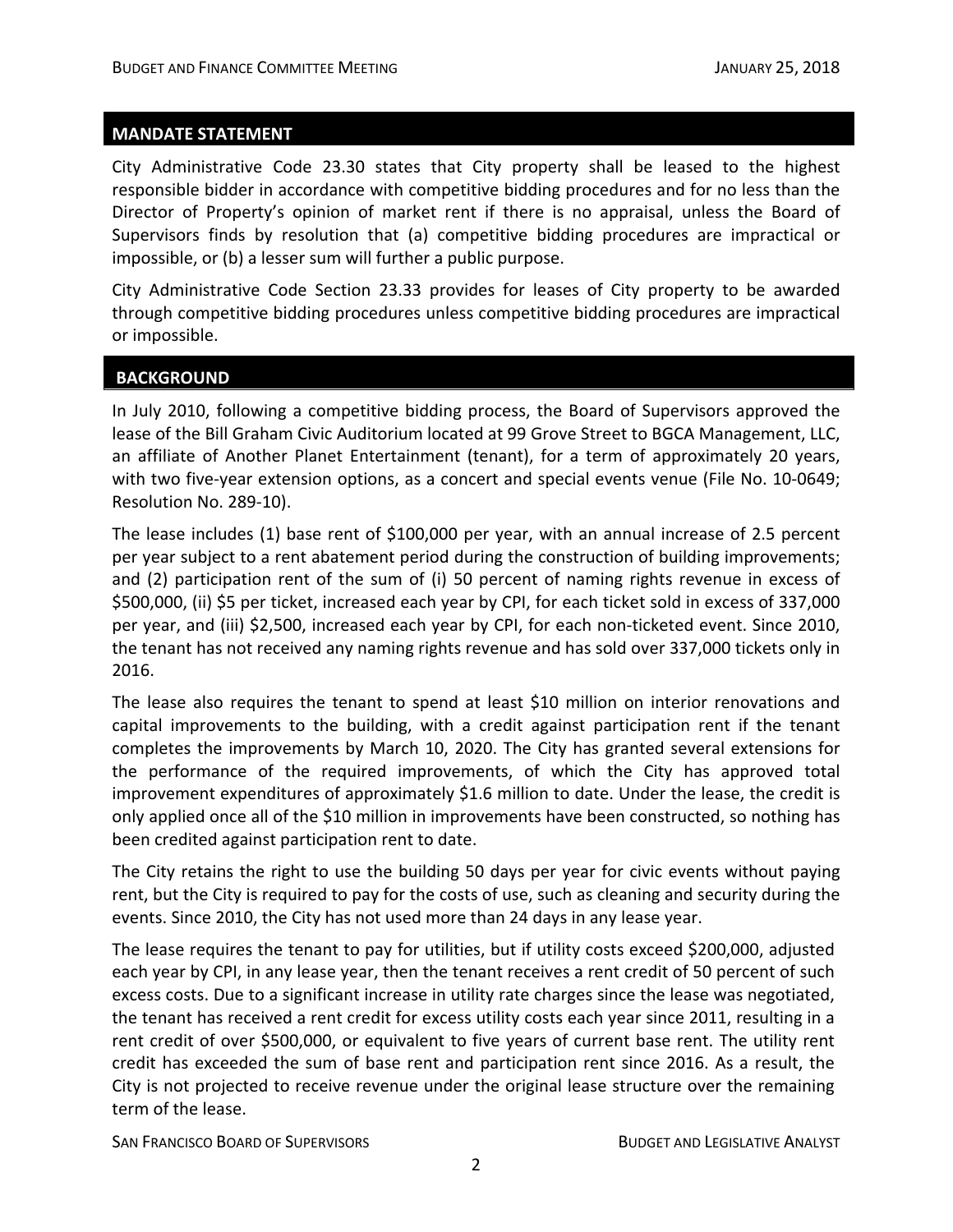City Administrative Code 23.30 states that City property shall be leased to the highest responsible bidder in accordance with competitive bidding procedures and for no less than the Director of Property's opinion of market rent if there is no appraisal, unless the Board of Supervisors finds by resolution that (a) competitive bidding procedures are impractical or impossible, or (b) a lesser sum will further a public purpose.

City Administrative Code Section 23.33 provides for leases of City property to be awarded through competitive bidding procedures unless competitive bidding procedures are impractical or impossible.

#### **BACKGROUND**

In July 2010, following a competitive bidding process, the Board of Supervisors approved the lease of the Bill Graham Civic Auditorium located at 99 Grove Street to BGCA Management, LLC, an affiliate of Another Planet Entertainment (tenant), for a term of approximately 20 years, with two five-year extension options, as a concert and special events venue (File No. 10-0649; Resolution No. 289‐10).

The lease includes (1) base rent of \$100,000 per year, with an annual increase of 2.5 percent per year subject to a rent abatement period during the construction of building improvements; and (2) participation rent of the sum of (i) 50 percent of naming rights revenue in excess of \$500,000, (ii) \$5 per ticket, increased each year by CPI, for each ticket sold in excess of 337,000 per year, and (iii) \$2,500, increased each year by CPI, for each non-ticketed event. Since 2010, the tenant has not received any naming rights revenue and has sold over 337,000 tickets only in 2016.

The lease also requires the tenant to spend at least \$10 million on interior renovations and capital improvements to the building, with a credit against participation rent if the tenant completes the improvements by March 10, 2020. The City has granted several extensions for the performance of the required improvements, of which the City has approved total improvement expenditures of approximately \$1.6 million to date. Under the lease, the credit is only applied once all of the \$10 million in improvements have been constructed, so nothing has been credited against participation rent to date.

The City retains the right to use the building 50 days per year for civic events without paying rent, but the City is required to pay for the costs of use, such as cleaning and security during the events. Since 2010, the City has not used more than 24 days in any lease year.

The lease requires the tenant to pay for utilities, but if utility costs exceed \$200,000, adjusted each year by CPI, in any lease year, then the tenant receives a rent credit of 50 percent of such excess costs. Due to a significant increase in utility rate charges since the lease was negotiated, the tenant has received a rent credit for excess utility costs each year since 2011, resulting in a rent credit of over \$500,000, or equivalent to five years of current base rent. The utility rent credit has exceeded the sum of base rent and participation rent since 2016. As a result, the City is not projected to receive revenue under the original lease structure over the remaining term of the lease.

SAN FRANCISCO BOARD OF SUPERVISORS **BUDGET AND LEGISLATIVE ANALYST**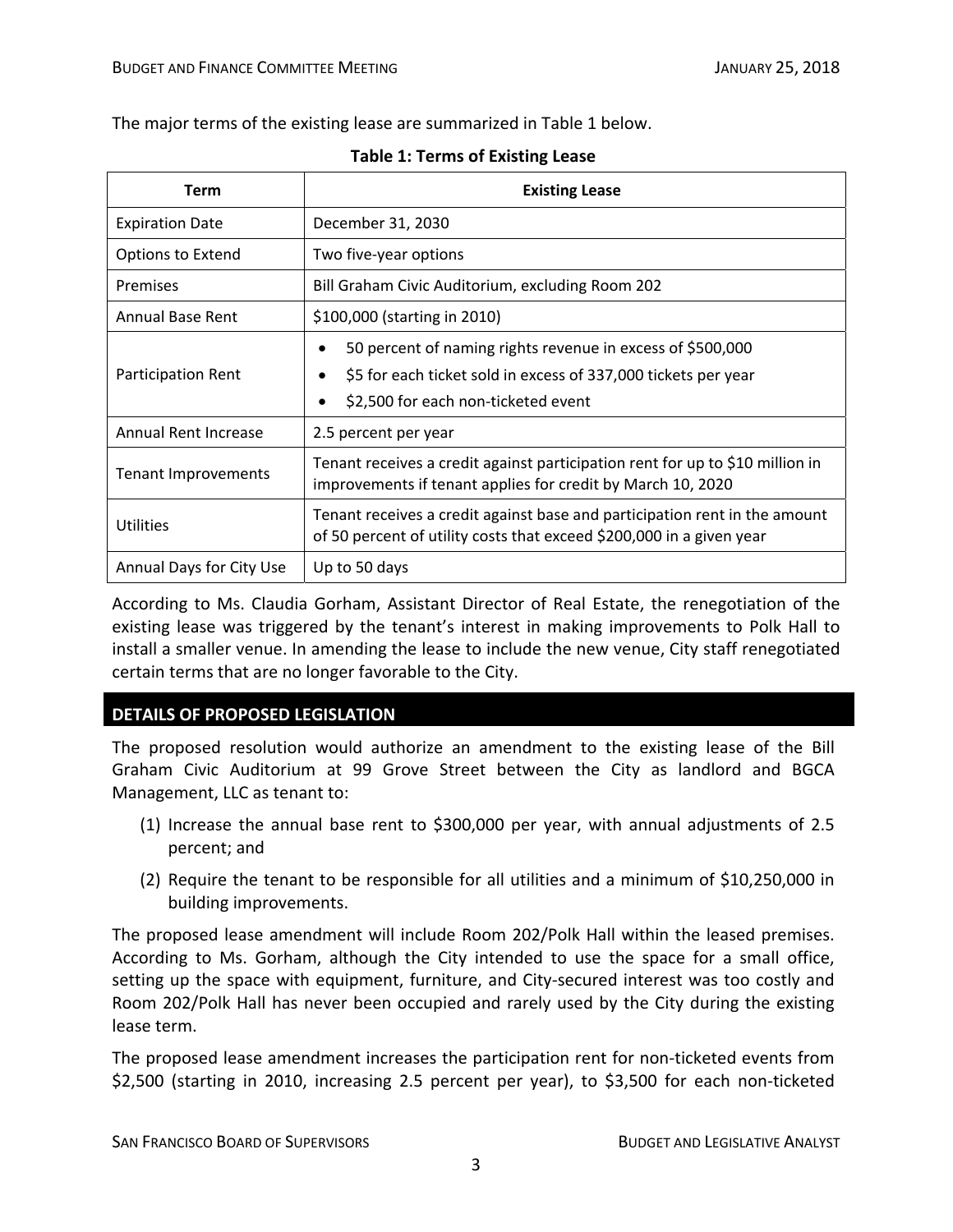The major terms of the existing lease are summarized in Table 1 below.

| Term                     | <b>Existing Lease</b>                                                                                                                                               |  |  |  |
|--------------------------|---------------------------------------------------------------------------------------------------------------------------------------------------------------------|--|--|--|
| <b>Expiration Date</b>   | December 31, 2030                                                                                                                                                   |  |  |  |
| Options to Extend        | Two five-year options                                                                                                                                               |  |  |  |
| Premises                 | Bill Graham Civic Auditorium, excluding Room 202                                                                                                                    |  |  |  |
| <b>Annual Base Rent</b>  | \$100,000 (starting in 2010)                                                                                                                                        |  |  |  |
| Participation Rent       | 50 percent of naming rights revenue in excess of \$500,000<br>\$5 for each ticket sold in excess of 337,000 tickets per year<br>\$2,500 for each non-ticketed event |  |  |  |
| Annual Rent Increase     | 2.5 percent per year                                                                                                                                                |  |  |  |
| Tenant Improvements      | Tenant receives a credit against participation rent for up to \$10 million in<br>improvements if tenant applies for credit by March 10, 2020                        |  |  |  |
| <b>Utilities</b>         | Tenant receives a credit against base and participation rent in the amount<br>of 50 percent of utility costs that exceed \$200,000 in a given year                  |  |  |  |
| Annual Days for City Use | Up to 50 days                                                                                                                                                       |  |  |  |

#### **Table 1: Terms of Existing Lease**

According to Ms. Claudia Gorham, Assistant Director of Real Estate, the renegotiation of the existing lease was triggered by the tenant's interest in making improvements to Polk Hall to install a smaller venue. In amending the lease to include the new venue, City staff renegotiated certain terms that are no longer favorable to the City.

# **DETAILS OF PROPOSED LEGISLATION**

The proposed resolution would authorize an amendment to the existing lease of the Bill Graham Civic Auditorium at 99 Grove Street between the City as landlord and BGCA Management, LLC as tenant to:

- (1) Increase the annual base rent to \$300,000 per year, with annual adjustments of 2.5 percent; and
- (2) Require the tenant to be responsible for all utilities and a minimum of \$10,250,000 in building improvements.

The proposed lease amendment will include Room 202/Polk Hall within the leased premises. According to Ms. Gorham, although the City intended to use the space for a small office, setting up the space with equipment, furniture, and City-secured interest was too costly and Room 202/Polk Hall has never been occupied and rarely used by the City during the existing lease term.

The proposed lease amendment increases the participation rent for non‐ticketed events from \$2,500 (starting in 2010, increasing 2.5 percent per year), to \$3,500 for each non‐ticketed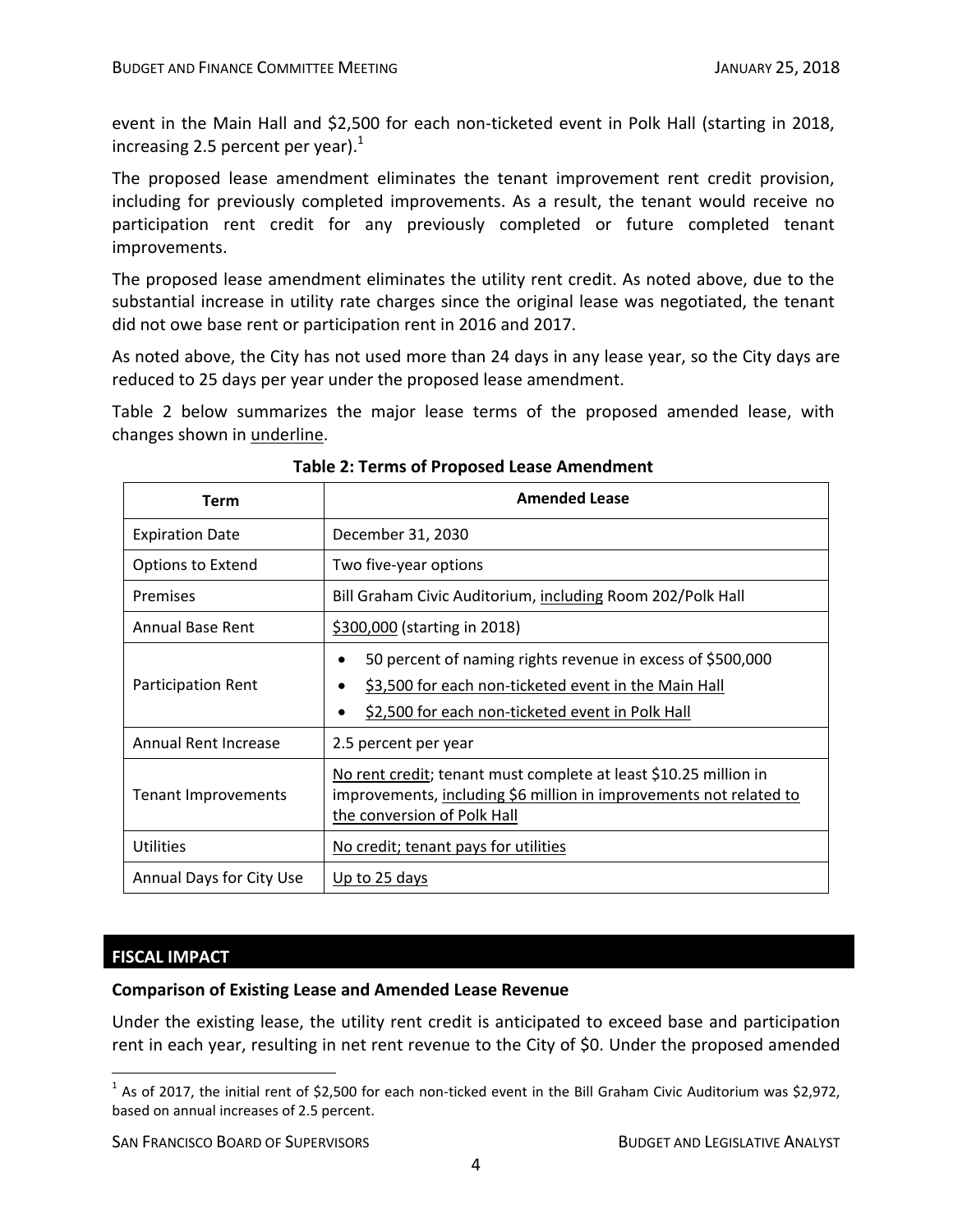event in the Main Hall and \$2,500 for each non-ticketed event in Polk Hall (starting in 2018, increasing 2.5 percent per year). $<sup>1</sup>$ </sup>

The proposed lease amendment eliminates the tenant improvement rent credit provision, including for previously completed improvements. As a result, the tenant would receive no participation rent credit for any previously completed or future completed tenant improvements.

The proposed lease amendment eliminates the utility rent credit. As noted above, due to the substantial increase in utility rate charges since the original lease was negotiated, the tenant did not owe base rent or participation rent in 2016 and 2017.

As noted above, the City has not used more than 24 days in any lease year, so the City days are reduced to 25 days per year under the proposed lease amendment.

Table 2 below summarizes the major lease terms of the proposed amended lease, with changes shown in underline.

| Term                        | <b>Amended Lease</b>                                                                                                                                                   |
|-----------------------------|------------------------------------------------------------------------------------------------------------------------------------------------------------------------|
| <b>Expiration Date</b>      | December 31, 2030                                                                                                                                                      |
| <b>Options to Extend</b>    | Two five-year options                                                                                                                                                  |
| Premises                    | Bill Graham Civic Auditorium, including Room 202/Polk Hall                                                                                                             |
| Annual Base Rent            | \$300,000 (starting in 2018)                                                                                                                                           |
| Participation Rent          | 50 percent of naming rights revenue in excess of \$500,000<br>\$3,500 for each non-ticketed event in the Main Hall<br>\$2,500 for each non-ticketed event in Polk Hall |
| <b>Annual Rent Increase</b> | 2.5 percent per year                                                                                                                                                   |
| <b>Tenant Improvements</b>  | No rent credit; tenant must complete at least \$10.25 million in<br>improvements, including \$6 million in improvements not related to<br>the conversion of Polk Hall  |
| <b>Utilities</b>            | No credit; tenant pays for utilities                                                                                                                                   |
| Annual Days for City Use    | Up to 25 days                                                                                                                                                          |

## **Table 2: Terms of Proposed Lease Amendment**

#### **FISCAL IMPACT**

#### **Comparison of Existing Lease and Amended Lease Revenue**

Under the existing lease, the utility rent credit is anticipated to exceed base and participation rent in each year, resulting in net rent revenue to the City of \$0. Under the proposed amended

 $1$  As of 2017, the initial rent of \$2,500 for each non-ticked event in the Bill Graham Civic Auditorium was \$2,972, based on annual increases of 2.5 percent.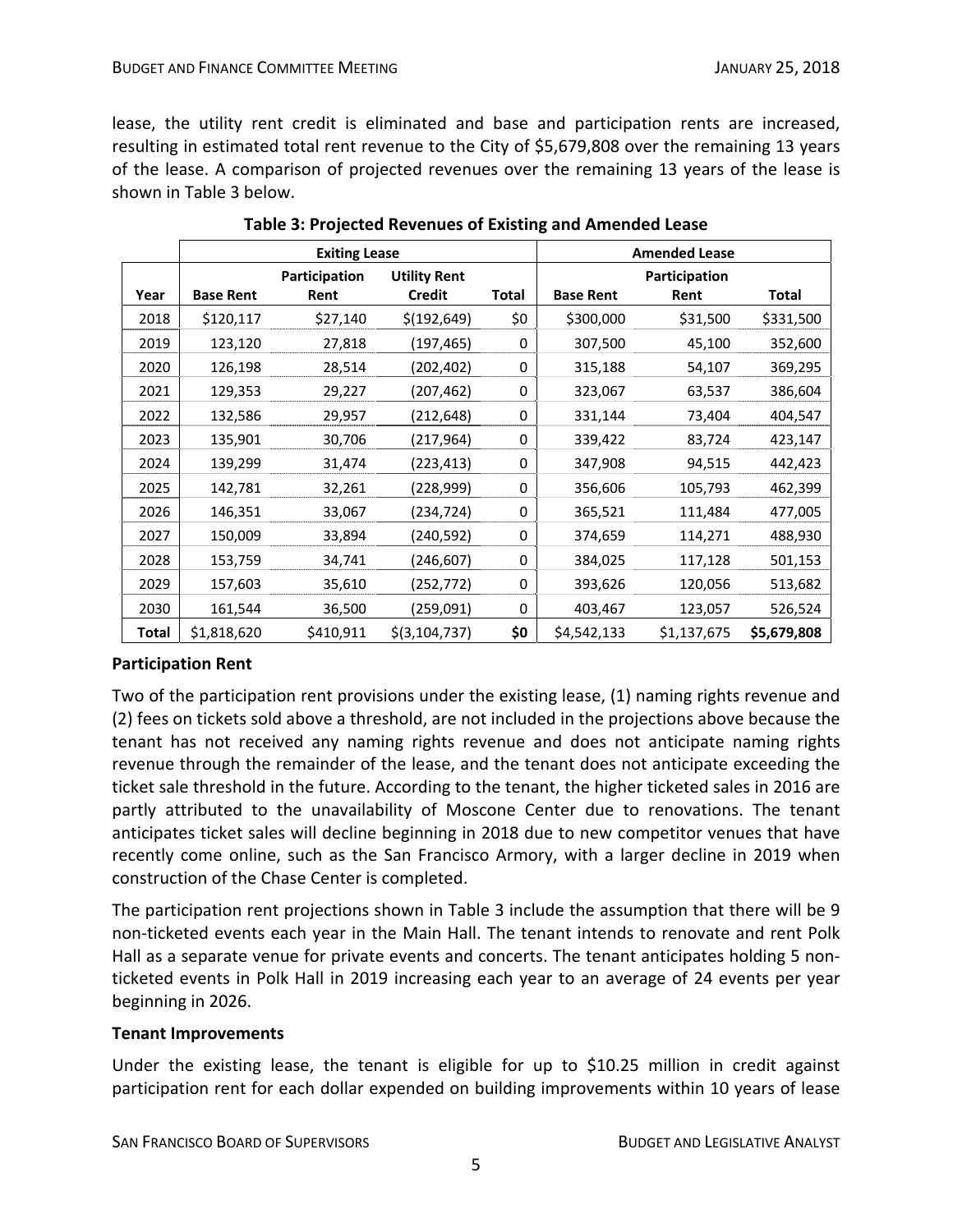lease, the utility rent credit is eliminated and base and participation rents are increased, resulting in estimated total rent revenue to the City of \$5,679,808 over the remaining 13 years of the lease. A comparison of projected revenues over the remaining 13 years of the lease is shown in Table 3 below.

|       | <b>Exiting Lease</b> |               |                     |              | <b>Amended Lease</b> |             |              |
|-------|----------------------|---------------|---------------------|--------------|----------------------|-------------|--------------|
|       |                      | Participation | <b>Utility Rent</b> |              | Participation        |             |              |
| Year  | <b>Base Rent</b>     | Rent          | <b>Credit</b>       | <b>Total</b> | <b>Base Rent</b>     | Rent        | <b>Total</b> |
| 2018  | \$120,117            | \$27,140      | \$(192, 649)        | \$0          | \$300,000            | \$31,500    | \$331,500    |
| 2019  | 123,120              | 27,818        | (197, 465)          | 0            | 307,500              | 45,100      | 352,600      |
| 2020  | 126,198              | 28,514        | (202, 402)          | 0            | 315,188              | 54,107      | 369,295      |
| 2021  | 129,353              | 29,227        | (207,462)           | 0            | 323,067              | 63,537      | 386,604      |
| 2022  | 132,586              | 29,957        | (212, 648)          | 0            | 331,144              | 73,404      | 404,547      |
| 2023  | 135,901              | 30,706        | (217, 964)          | 0            | 339,422              | 83,724      | 423,147      |
| 2024  | 139,299              | 31,474        | (223,413)           | 0            | 347,908              | 94,515      | 442,423      |
| 2025  | 142,781              | 32,261        | (228,999)           | 0            | 356,606              | 105,793     | 462,399      |
| 2026  | 146,351              | 33,067        | (234,724)           | 0            | 365,521              | 111,484     | 477,005      |
| 2027  | 150,009              | 33,894        | (240, 592)          | 0            | 374,659              | 114,271     | 488,930      |
| 2028  | 153,759              | 34,741        | (246, 607)          | 0            | 384,025              | 117,128     | 501,153      |
| 2029  | 157,603              | 35,610        | (252,772)           | 0            | 393,626              | 120,056     | 513,682      |
| 2030  | 161,544              | 36,500        | (259,091)           | 0            | 403,467              | 123,057     | 526,524      |
| Total | \$1,818,620          | \$410,911     | \$(3, 104, 737)     | \$0          | \$4,542,133          | \$1,137,675 | \$5,679,808  |

# **Participation Rent**

Two of the participation rent provisions under the existing lease, (1) naming rights revenue and (2) fees on tickets sold above a threshold, are not included in the projections above because the tenant has not received any naming rights revenue and does not anticipate naming rights revenue through the remainder of the lease, and the tenant does not anticipate exceeding the ticket sale threshold in the future. According to the tenant, the higher ticketed sales in 2016 are partly attributed to the unavailability of Moscone Center due to renovations. The tenant anticipates ticket sales will decline beginning in 2018 due to new competitor venues that have recently come online, such as the San Francisco Armory, with a larger decline in 2019 when construction of the Chase Center is completed.

The participation rent projections shown in Table 3 include the assumption that there will be 9 non‐ticketed events each year in the Main Hall. The tenant intends to renovate and rent Polk Hall as a separate venue for private events and concerts. The tenant anticipates holding 5 nonticketed events in Polk Hall in 2019 increasing each year to an average of 24 events per year beginning in 2026.

#### **Tenant Improvements**

Under the existing lease, the tenant is eligible for up to \$10.25 million in credit against participation rent for each dollar expended on building improvements within 10 years of lease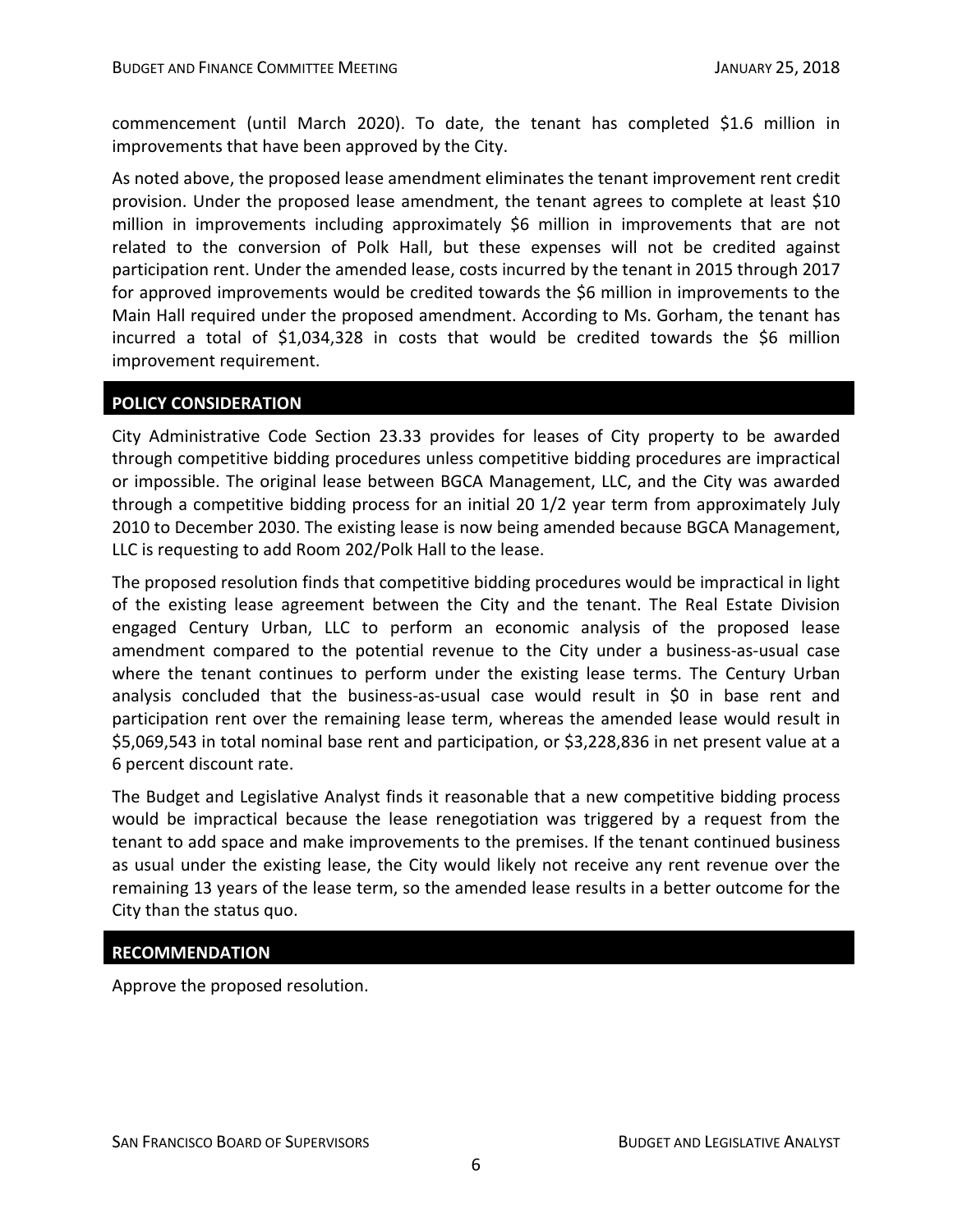commencement (until March 2020). To date, the tenant has completed \$1.6 million in improvements that have been approved by the City.

As noted above, the proposed lease amendment eliminates the tenant improvement rent credit provision. Under the proposed lease amendment, the tenant agrees to complete at least \$10 million in improvements including approximately \$6 million in improvements that are not related to the conversion of Polk Hall, but these expenses will not be credited against participation rent. Under the amended lease, costs incurred by the tenant in 2015 through 2017 for approved improvements would be credited towards the \$6 million in improvements to the Main Hall required under the proposed amendment. According to Ms. Gorham, the tenant has incurred a total of \$1,034,328 in costs that would be credited towards the \$6 million improvement requirement.

# **POLICY CONSIDERATION**

City Administrative Code Section 23.33 provides for leases of City property to be awarded through competitive bidding procedures unless competitive bidding procedures are impractical or impossible. The original lease between BGCA Management, LLC, and the City was awarded through a competitive bidding process for an initial 20 1/2 year term from approximately July 2010 to December 2030. The existing lease is now being amended because BGCA Management, LLC is requesting to add Room 202/Polk Hall to the lease.

The proposed resolution finds that competitive bidding procedures would be impractical in light of the existing lease agreement between the City and the tenant. The Real Estate Division engaged Century Urban, LLC to perform an economic analysis of the proposed lease amendment compared to the potential revenue to the City under a business-as-usual case where the tenant continues to perform under the existing lease terms. The Century Urban analysis concluded that the business‐as‐usual case would result in \$0 in base rent and participation rent over the remaining lease term, whereas the amended lease would result in \$5,069,543 in total nominal base rent and participation, or \$3,228,836 in net present value at a 6 percent discount rate.

The Budget and Legislative Analyst finds it reasonable that a new competitive bidding process would be impractical because the lease renegotiation was triggered by a request from the tenant to add space and make improvements to the premises. If the tenant continued business as usual under the existing lease, the City would likely not receive any rent revenue over the remaining 13 years of the lease term, so the amended lease results in a better outcome for the City than the status quo.

#### **RECOMMENDATION**

Approve the proposed resolution.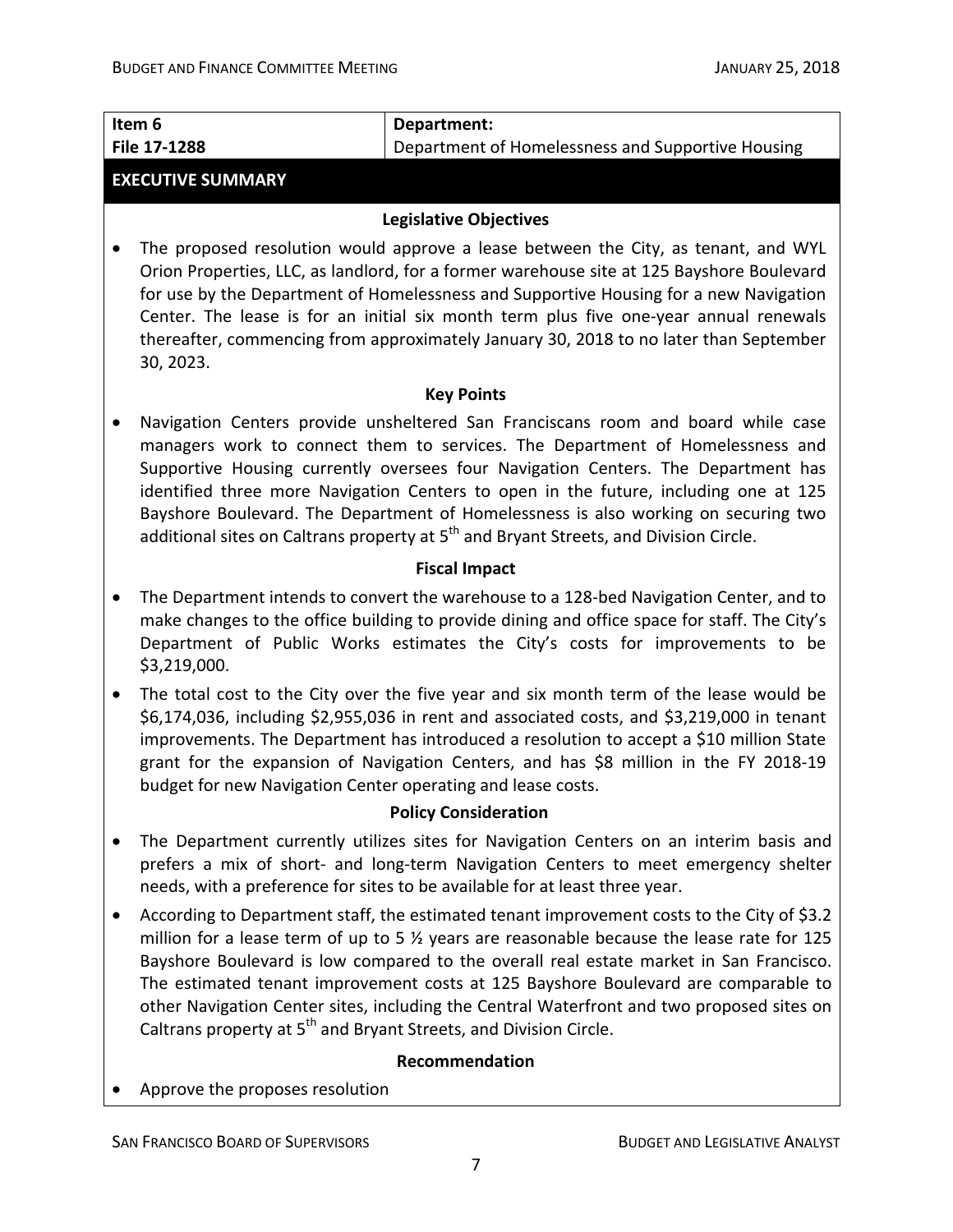| Item 6                                                                                                                                                                                                                                                                                                                                                                                                                                                                                                                                                | Department:                                                                                                                                                                                                                                                                                                                                                                                                                                                |  |  |  |  |
|-------------------------------------------------------------------------------------------------------------------------------------------------------------------------------------------------------------------------------------------------------------------------------------------------------------------------------------------------------------------------------------------------------------------------------------------------------------------------------------------------------------------------------------------------------|------------------------------------------------------------------------------------------------------------------------------------------------------------------------------------------------------------------------------------------------------------------------------------------------------------------------------------------------------------------------------------------------------------------------------------------------------------|--|--|--|--|
| File 17-1288                                                                                                                                                                                                                                                                                                                                                                                                                                                                                                                                          | Department of Homelessness and Supportive Housing                                                                                                                                                                                                                                                                                                                                                                                                          |  |  |  |  |
| <b>EXECUTIVE SUMMARY</b>                                                                                                                                                                                                                                                                                                                                                                                                                                                                                                                              |                                                                                                                                                                                                                                                                                                                                                                                                                                                            |  |  |  |  |
|                                                                                                                                                                                                                                                                                                                                                                                                                                                                                                                                                       | <b>Legislative Objectives</b>                                                                                                                                                                                                                                                                                                                                                                                                                              |  |  |  |  |
| 30, 2023.                                                                                                                                                                                                                                                                                                                                                                                                                                                                                                                                             | The proposed resolution would approve a lease between the City, as tenant, and WYL<br>Orion Properties, LLC, as landlord, for a former warehouse site at 125 Bayshore Boulevard<br>for use by the Department of Homelessness and Supportive Housing for a new Navigation<br>Center. The lease is for an initial six month term plus five one-year annual renewals<br>thereafter, commencing from approximately January 30, 2018 to no later than September |  |  |  |  |
|                                                                                                                                                                                                                                                                                                                                                                                                                                                                                                                                                       | <b>Key Points</b>                                                                                                                                                                                                                                                                                                                                                                                                                                          |  |  |  |  |
| Navigation Centers provide unsheltered San Franciscans room and board while case<br>managers work to connect them to services. The Department of Homelessness and<br>Supportive Housing currently oversees four Navigation Centers. The Department has<br>identified three more Navigation Centers to open in the future, including one at 125<br>Bayshore Boulevard. The Department of Homelessness is also working on securing two<br>additional sites on Caltrans property at 5 <sup>th</sup> and Bryant Streets, and Division Circle.             |                                                                                                                                                                                                                                                                                                                                                                                                                                                            |  |  |  |  |
|                                                                                                                                                                                                                                                                                                                                                                                                                                                                                                                                                       | <b>Fiscal Impact</b>                                                                                                                                                                                                                                                                                                                                                                                                                                       |  |  |  |  |
| ٠<br>\$3,219,000.                                                                                                                                                                                                                                                                                                                                                                                                                                                                                                                                     | The Department intends to convert the warehouse to a 128-bed Navigation Center, and to<br>make changes to the office building to provide dining and office space for staff. The City's<br>Department of Public Works estimates the City's costs for improvements to be                                                                                                                                                                                     |  |  |  |  |
| The total cost to the City over the five year and six month term of the lease would be<br>\$6,174,036, including \$2,955,036 in rent and associated costs, and \$3,219,000 in tenant<br>improvements. The Department has introduced a resolution to accept a \$10 million State<br>grant for the expansion of Navigation Centers, and has \$8 million in the FY 2018-19<br>budget for new Navigation Center operating and lease costs.                                                                                                                |                                                                                                                                                                                                                                                                                                                                                                                                                                                            |  |  |  |  |
|                                                                                                                                                                                                                                                                                                                                                                                                                                                                                                                                                       | <b>Policy Consideration</b>                                                                                                                                                                                                                                                                                                                                                                                                                                |  |  |  |  |
|                                                                                                                                                                                                                                                                                                                                                                                                                                                                                                                                                       | The Department currently utilizes sites for Navigation Centers on an interim basis and<br>prefers a mix of short- and long-term Navigation Centers to meet emergency shelter<br>needs, with a preference for sites to be available for at least three year.                                                                                                                                                                                                |  |  |  |  |
| According to Department staff, the estimated tenant improvement costs to the City of \$3.2<br>million for a lease term of up to 5 % years are reasonable because the lease rate for 125<br>Bayshore Boulevard is low compared to the overall real estate market in San Francisco.<br>The estimated tenant improvement costs at 125 Bayshore Boulevard are comparable to<br>other Navigation Center sites, including the Central Waterfront and two proposed sites on<br>Caltrans property at 5 <sup>th</sup> and Bryant Streets, and Division Circle. |                                                                                                                                                                                                                                                                                                                                                                                                                                                            |  |  |  |  |
|                                                                                                                                                                                                                                                                                                                                                                                                                                                                                                                                                       | Recommendation                                                                                                                                                                                                                                                                                                                                                                                                                                             |  |  |  |  |
| Approve the proposes resolution                                                                                                                                                                                                                                                                                                                                                                                                                                                                                                                       |                                                                                                                                                                                                                                                                                                                                                                                                                                                            |  |  |  |  |
|                                                                                                                                                                                                                                                                                                                                                                                                                                                                                                                                                       |                                                                                                                                                                                                                                                                                                                                                                                                                                                            |  |  |  |  |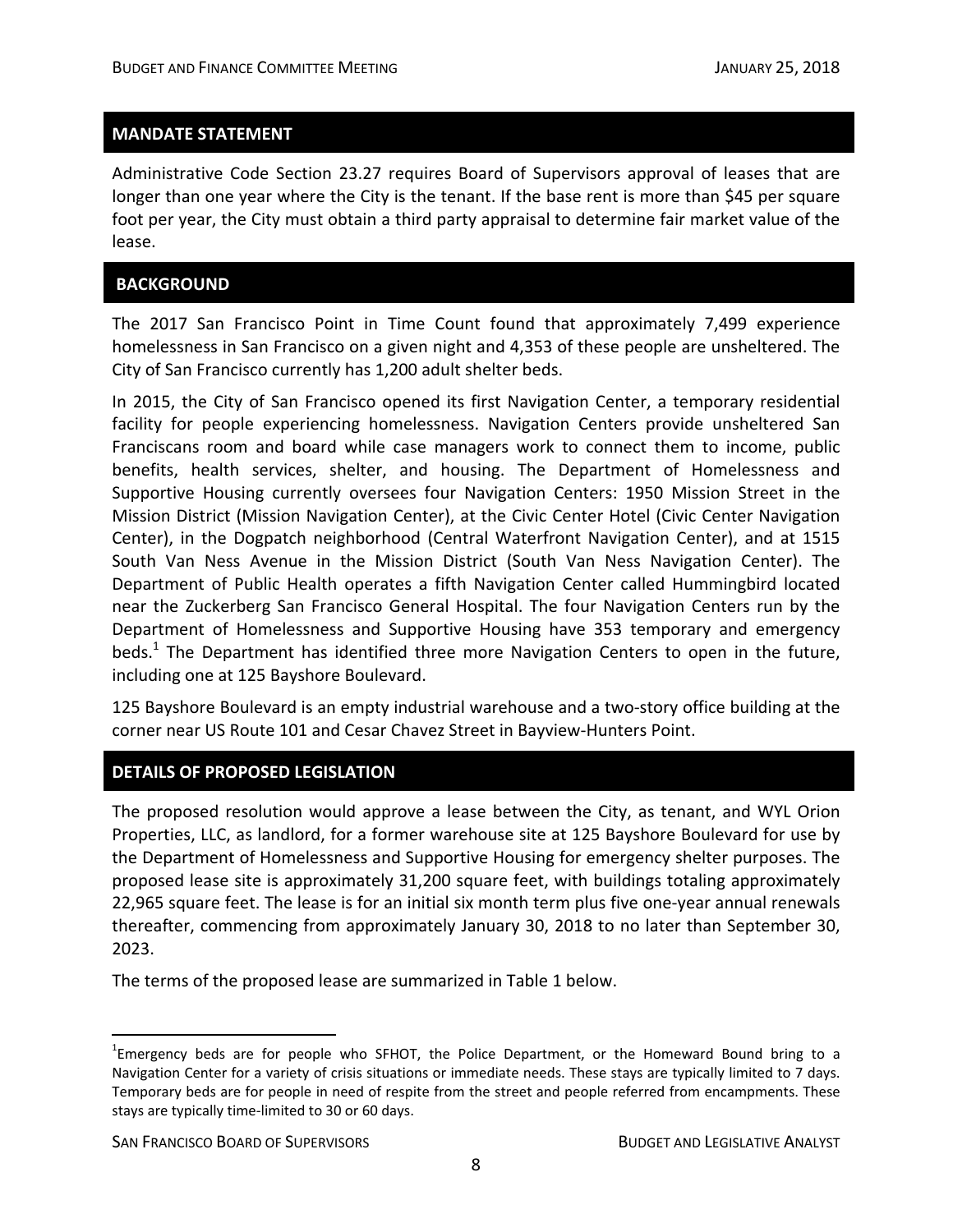Administrative Code Section 23.27 requires Board of Supervisors approval of leases that are longer than one year where the City is the tenant. If the base rent is more than \$45 per square foot per year, the City must obtain a third party appraisal to determine fair market value of the lease.

#### **BACKGROUND**

The 2017 San Francisco Point in Time Count found that approximately 7,499 experience homelessness in San Francisco on a given night and 4,353 of these people are unsheltered. The City of San Francisco currently has 1,200 adult shelter beds.

In 2015, the City of San Francisco opened its first Navigation Center, a temporary residential facility for people experiencing homelessness. Navigation Centers provide unsheltered San Franciscans room and board while case managers work to connect them to income, public benefits, health services, shelter, and housing. The Department of Homelessness and Supportive Housing currently oversees four Navigation Centers: 1950 Mission Street in the Mission District (Mission Navigation Center), at the Civic Center Hotel (Civic Center Navigation Center), in the Dogpatch neighborhood (Central Waterfront Navigation Center), and at 1515 South Van Ness Avenue in the Mission District (South Van Ness Navigation Center). The Department of Public Health operates a fifth Navigation Center called Hummingbird located near the Zuckerberg San Francisco General Hospital. The four Navigation Centers run by the Department of Homelessness and Supportive Housing have 353 temporary and emergency beds.<sup>1</sup> The Department has identified three more Navigation Centers to open in the future, including one at 125 Bayshore Boulevard.

125 Bayshore Boulevard is an empty industrial warehouse and a two-story office building at the corner near US Route 101 and Cesar Chavez Street in Bayview‐Hunters Point.

#### **DETAILS OF PROPOSED LEGISLATION**

The proposed resolution would approve a lease between the City, as tenant, and WYL Orion Properties, LLC, as landlord, for a former warehouse site at 125 Bayshore Boulevard for use by the Department of Homelessness and Supportive Housing for emergency shelter purposes. The proposed lease site is approximately 31,200 square feet, with buildings totaling approximately 22,965 square feet. The lease is for an initial six month term plus five one‐year annual renewals thereafter, commencing from approximately January 30, 2018 to no later than September 30, 2023.

The terms of the proposed lease are summarized in Table 1 below.

<sup>&</sup>lt;sup>1</sup>Emergency beds are for people who SFHOT, the Police Department, or the Homeward Bound bring to a Navigation Center for a variety of crisis situations or immediate needs. These stays are typically limited to 7 days. Temporary beds are for people in need of respite from the street and people referred from encampments. These stays are typically time‐limited to 30 or 60 days.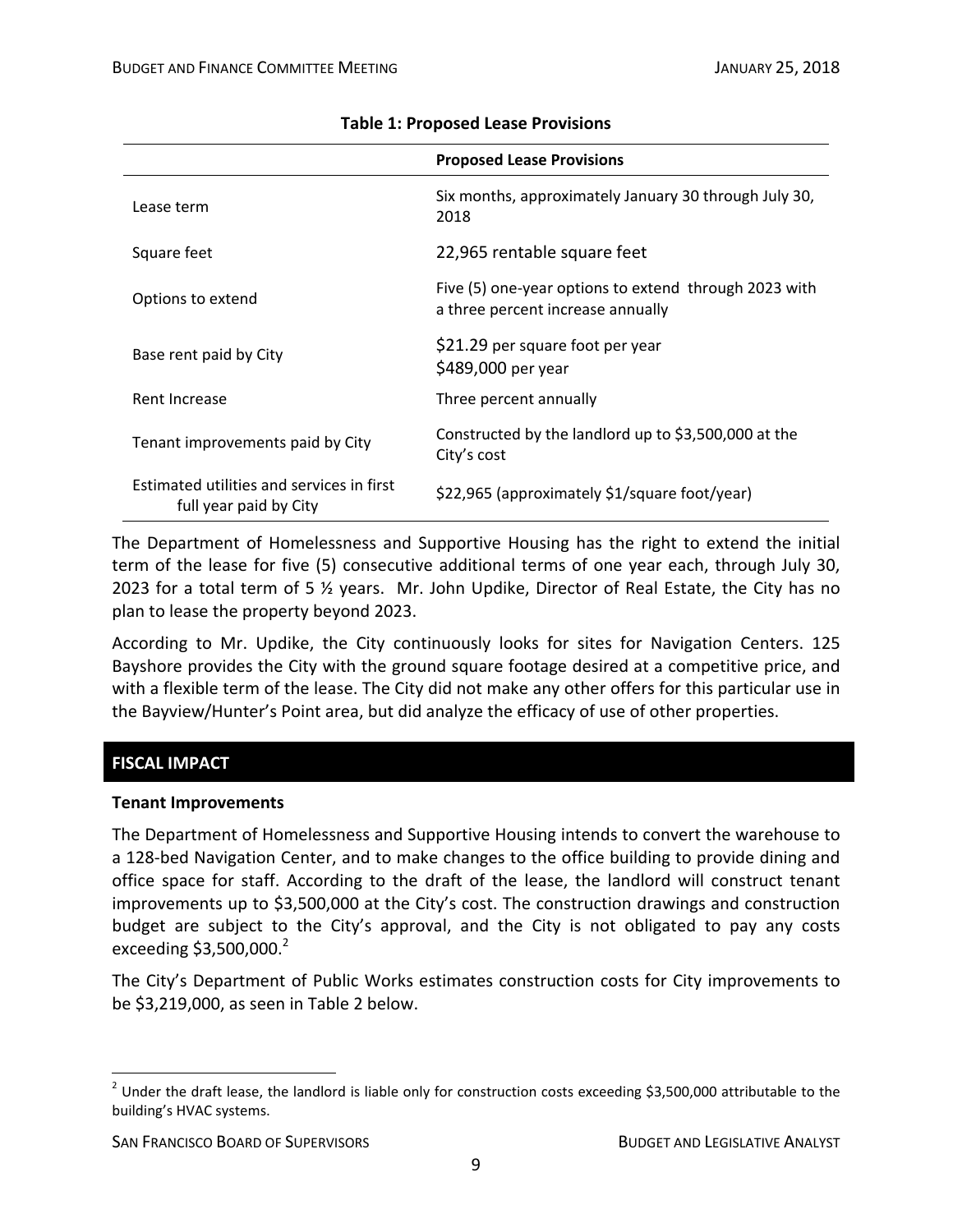|                                                                     | <b>Proposed Lease Provisions</b>                                                           |
|---------------------------------------------------------------------|--------------------------------------------------------------------------------------------|
| Lease term                                                          | Six months, approximately January 30 through July 30,<br>2018                              |
| Square feet                                                         | 22,965 rentable square feet                                                                |
| Options to extend                                                   | Five (5) one-year options to extend through 2023 with<br>a three percent increase annually |
| Base rent paid by City                                              | \$21.29 per square foot per year<br>\$489,000 per year                                     |
| Rent Increase                                                       | Three percent annually                                                                     |
| Tenant improvements paid by City                                    | Constructed by the landlord up to \$3,500,000 at the<br>City's cost                        |
| Estimated utilities and services in first<br>full year paid by City | \$22,965 (approximately \$1/square foot/year)                                              |

#### **Table 1: Proposed Lease Provisions**

The Department of Homelessness and Supportive Housing has the right to extend the initial term of the lease for five (5) consecutive additional terms of one year each, through July 30, 2023 for a total term of 5 ½ years. Mr. John Updike, Director of Real Estate, the City has no plan to lease the property beyond 2023.

According to Mr. Updike, the City continuously looks for sites for Navigation Centers. 125 Bayshore provides the City with the ground square footage desired at a competitive price, and with a flexible term of the lease. The City did not make any other offers for this particular use in the Bayview/Hunter's Point area, but did analyze the efficacy of use of other properties.

# **FISCAL IMPACT**

#### **Tenant Improvements**

The Department of Homelessness and Supportive Housing intends to convert the warehouse to a 128‐bed Navigation Center, and to make changes to the office building to provide dining and office space for staff. According to the draft of the lease, the landlord will construct tenant improvements up to \$3,500,000 at the City's cost. The construction drawings and construction budget are subject to the City's approval, and the City is not obligated to pay any costs exceeding  $$3,500,000.<sup>2</sup>$ 

The City's Department of Public Works estimates construction costs for City improvements to be \$3,219,000, as seen in Table 2 below.

  $2$  Under the draft lease, the landlord is liable only for construction costs exceeding \$3,500,000 attributable to the building's HVAC systems.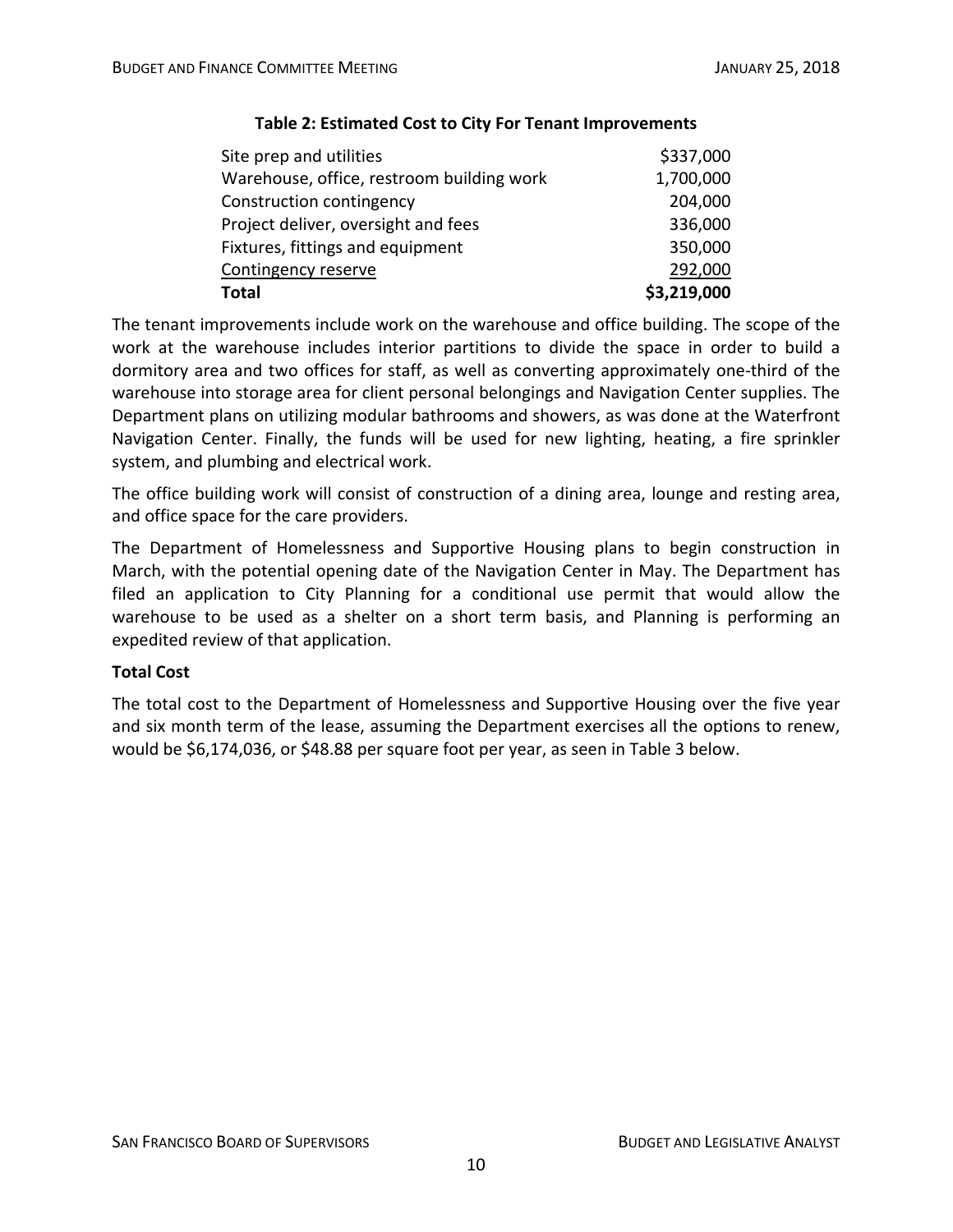| Site prep and utilities                   | \$337,000   |
|-------------------------------------------|-------------|
| Warehouse, office, restroom building work | 1,700,000   |
| Construction contingency                  | 204,000     |
| Project deliver, oversight and fees       | 336,000     |
| Fixtures, fittings and equipment          | 350,000     |
| Contingency reserve                       | 292,000     |
| <b>Total</b>                              | \$3,219,000 |

## **Table 2: Estimated Cost to City For Tenant Improvements**

The tenant improvements include work on the warehouse and office building. The scope of the work at the warehouse includes interior partitions to divide the space in order to build a dormitory area and two offices for staff, as well as converting approximately one‐third of the warehouse into storage area for client personal belongings and Navigation Center supplies. The Department plans on utilizing modular bathrooms and showers, as was done at the Waterfront Navigation Center. Finally, the funds will be used for new lighting, heating, a fire sprinkler system, and plumbing and electrical work.

The office building work will consist of construction of a dining area, lounge and resting area, and office space for the care providers.

The Department of Homelessness and Supportive Housing plans to begin construction in March, with the potential opening date of the Navigation Center in May. The Department has filed an application to City Planning for a conditional use permit that would allow the warehouse to be used as a shelter on a short term basis, and Planning is performing an expedited review of that application.

# **Total Cost**

The total cost to the Department of Homelessness and Supportive Housing over the five year and six month term of the lease, assuming the Department exercises all the options to renew, would be \$6,174,036, or \$48.88 per square foot per year, as seen in Table 3 below.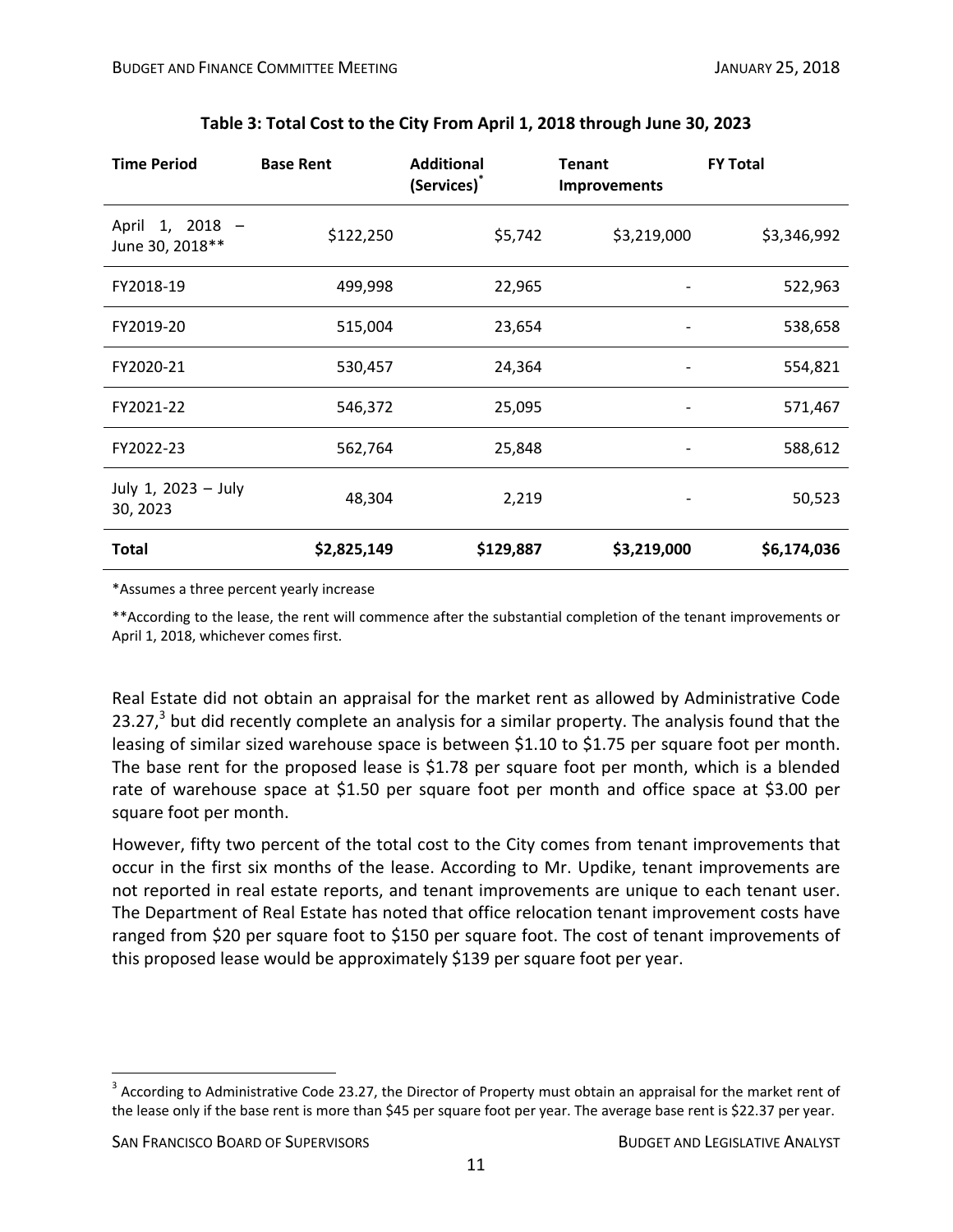| <b>Time Period</b>                 | <b>Base Rent</b> | <b>Additional</b><br>(Services) <sup>*</sup> | <b>Tenant</b><br><b>Improvements</b> | <b>FY Total</b> |
|------------------------------------|------------------|----------------------------------------------|--------------------------------------|-----------------|
| April 1, 2018 -<br>June 30, 2018** | \$122,250        | \$5,742                                      | \$3,219,000                          | \$3,346,992     |
| FY2018-19                          | 499,998          | 22,965                                       |                                      | 522,963         |
| FY2019-20                          | 515,004          | 23,654                                       |                                      | 538,658         |
| FY2020-21                          | 530,457          | 24,364                                       |                                      | 554,821         |
| FY2021-22                          | 546,372          | 25,095                                       |                                      | 571,467         |
| FY2022-23                          | 562,764          | 25,848                                       |                                      | 588,612         |
| July 1, 2023 - July<br>30, 2023    | 48,304           | 2,219                                        |                                      | 50,523          |
| <b>Total</b>                       | \$2,825,149      | \$129,887                                    | \$3,219,000                          | \$6,174,036     |

#### **Table 3: Total Cost to the City From April 1, 2018 through June 30, 2023**

\*Assumes a three percent yearly increase

\*\*According to the lease, the rent will commence after the substantial completion of the tenant improvements or April 1, 2018, whichever comes first.

Real Estate did not obtain an appraisal for the market rent as allowed by Administrative Code 23.27, $3$  but did recently complete an analysis for a similar property. The analysis found that the leasing of similar sized warehouse space is between \$1.10 to \$1.75 per square foot per month. The base rent for the proposed lease is \$1.78 per square foot per month, which is a blended rate of warehouse space at \$1.50 per square foot per month and office space at \$3.00 per square foot per month.

However, fifty two percent of the total cost to the City comes from tenant improvements that occur in the first six months of the lease. According to Mr. Updike, tenant improvements are not reported in real estate reports, and tenant improvements are unique to each tenant user. The Department of Real Estate has noted that office relocation tenant improvement costs have ranged from \$20 per square foot to \$150 per square foot. The cost of tenant improvements of this proposed lease would be approximately \$139 per square foot per year.

 $3$  According to Administrative Code 23.27, the Director of Property must obtain an appraisal for the market rent of the lease only if the base rent is more than \$45 per square foot per year. The average base rent is \$22.37 per year.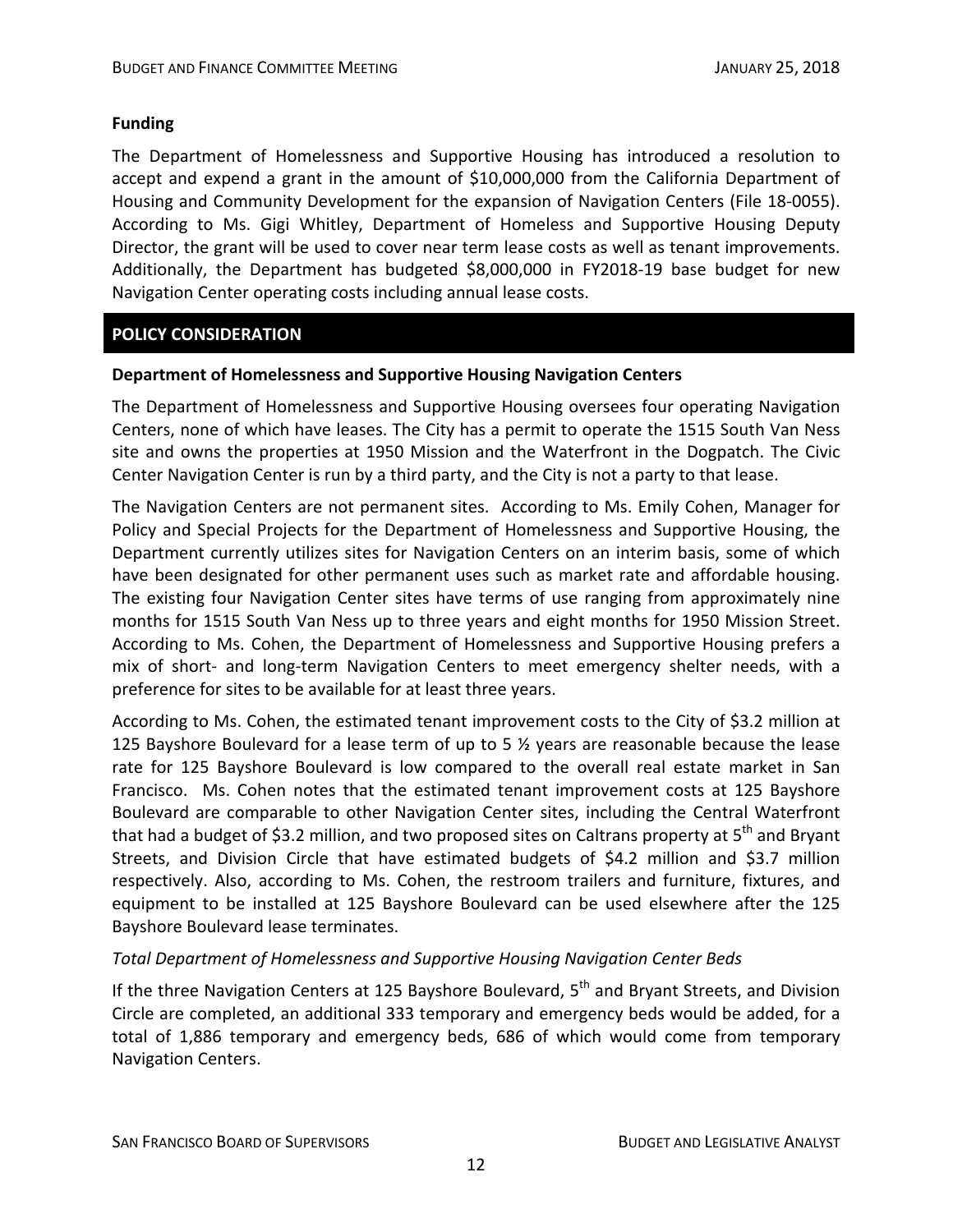#### **Funding**

The Department of Homelessness and Supportive Housing has introduced a resolution to accept and expend a grant in the amount of \$10,000,000 from the California Department of Housing and Community Development for the expansion of Navigation Centers (File 18‐0055). According to Ms. Gigi Whitley, Department of Homeless and Supportive Housing Deputy Director, the grant will be used to cover near term lease costs as well as tenant improvements. Additionally, the Department has budgeted \$8,000,000 in FY2018‐19 base budget for new Navigation Center operating costs including annual lease costs.

# **POLICY CONSIDERATION**

#### **Department of Homelessness and Supportive Housing Navigation Centers**

The Department of Homelessness and Supportive Housing oversees four operating Navigation Centers, none of which have leases. The City has a permit to operate the 1515 South Van Ness site and owns the properties at 1950 Mission and the Waterfront in the Dogpatch. The Civic Center Navigation Center is run by a third party, and the City is not a party to that lease.

The Navigation Centers are not permanent sites. According to Ms. Emily Cohen, Manager for Policy and Special Projects for the Department of Homelessness and Supportive Housing, the Department currently utilizes sites for Navigation Centers on an interim basis, some of which have been designated for other permanent uses such as market rate and affordable housing. The existing four Navigation Center sites have terms of use ranging from approximately nine months for 1515 South Van Ness up to three years and eight months for 1950 Mission Street. According to Ms. Cohen, the Department of Homelessness and Supportive Housing prefers a mix of short- and long-term Navigation Centers to meet emergency shelter needs, with a preference for sites to be available for at least three years.

According to Ms. Cohen, the estimated tenant improvement costs to the City of \$3.2 million at 125 Bayshore Boulevard for a lease term of up to 5 ½ years are reasonable because the lease rate for 125 Bayshore Boulevard is low compared to the overall real estate market in San Francisco. Ms. Cohen notes that the estimated tenant improvement costs at 125 Bayshore Boulevard are comparable to other Navigation Center sites, including the Central Waterfront that had a budget of \$3.2 million, and two proposed sites on Caltrans property at  $5<sup>th</sup>$  and Bryant Streets, and Division Circle that have estimated budgets of \$4.2 million and \$3.7 million respectively. Also, according to Ms. Cohen, the restroom trailers and furniture, fixtures, and equipment to be installed at 125 Bayshore Boulevard can be used elsewhere after the 125 Bayshore Boulevard lease terminates.

#### *Total Department of Homelessness and Supportive Housing Navigation Center Beds*

If the three Navigation Centers at 125 Bayshore Boulevard, 5<sup>th</sup> and Bryant Streets, and Division Circle are completed, an additional 333 temporary and emergency beds would be added, for a total of 1,886 temporary and emergency beds, 686 of which would come from temporary Navigation Centers.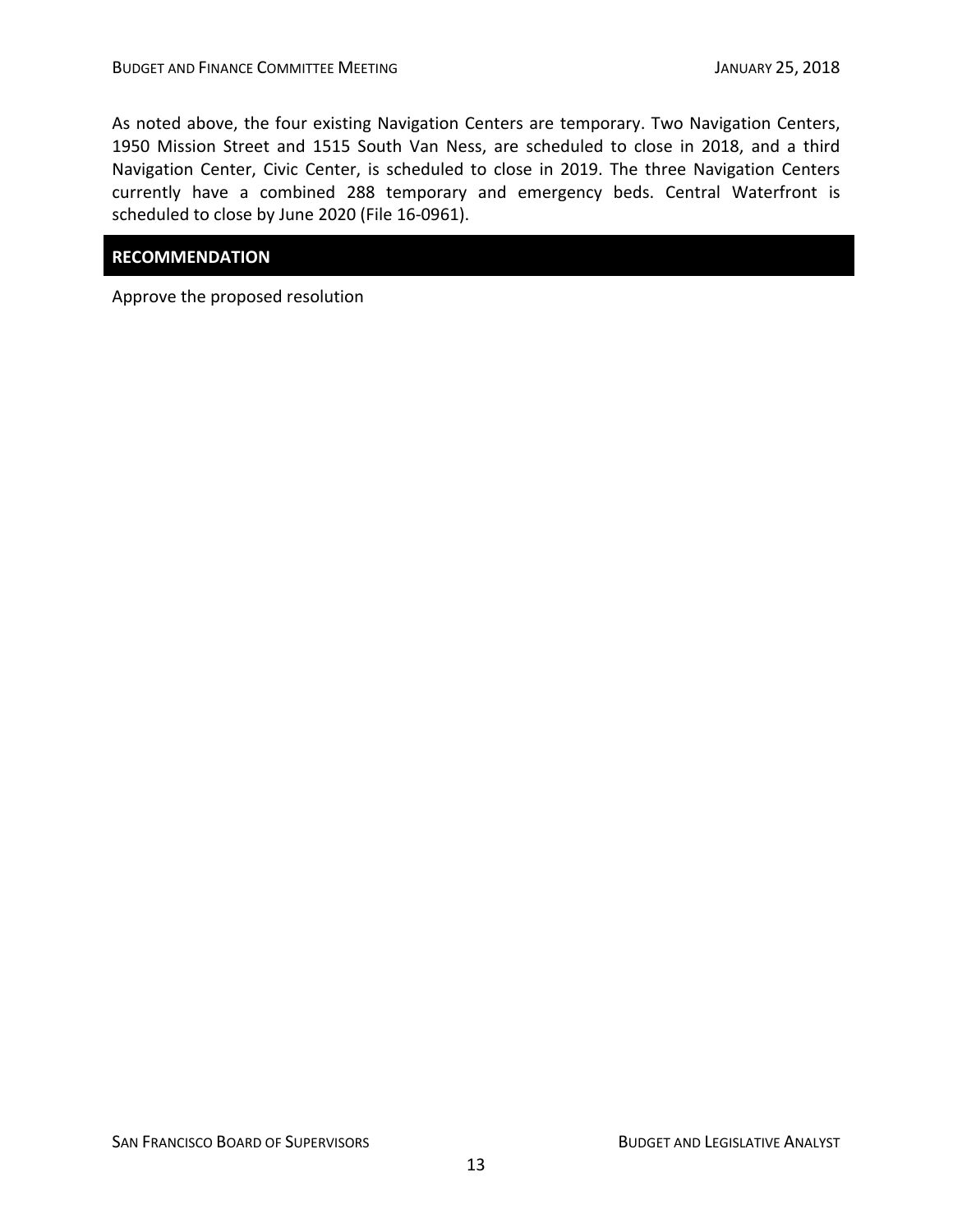As noted above, the four existing Navigation Centers are temporary. Two Navigation Centers, 1950 Mission Street and 1515 South Van Ness, are scheduled to close in 2018, and a third Navigation Center, Civic Center, is scheduled to close in 2019. The three Navigation Centers currently have a combined 288 temporary and emergency beds. Central Waterfront is scheduled to close by June 2020 (File 16‐0961).

# **RECOMMENDATION**

Approve the proposed resolution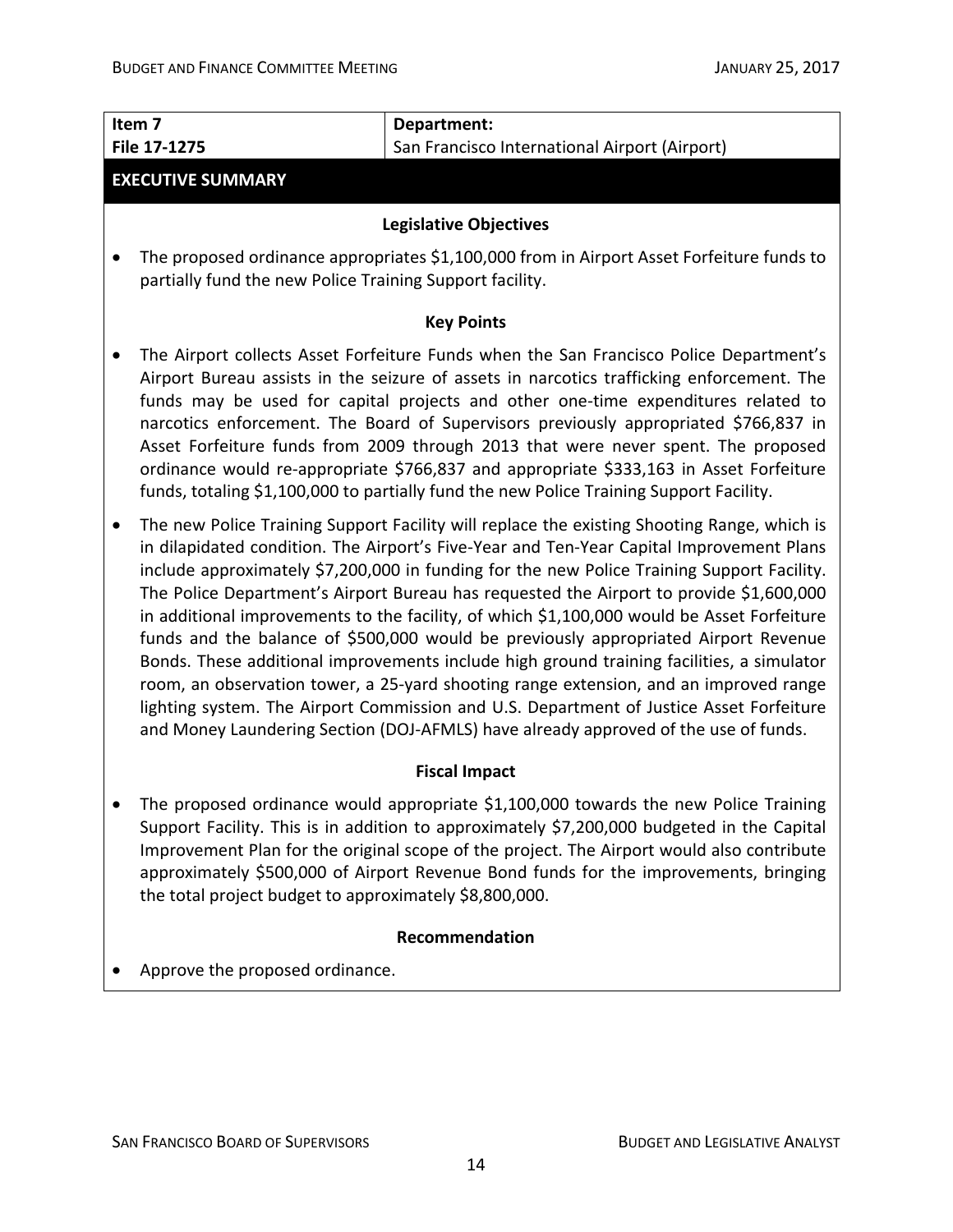| Item <sub>7</sub><br>File 17-1275                        | Department:<br>San Francisco International Airport (Airport)                                                                                                                                                                                                                                                                                                                                                                                                                                                                                                                                                                                                                                                                                                                                                                                                                                                                                  |  |  |
|----------------------------------------------------------|-----------------------------------------------------------------------------------------------------------------------------------------------------------------------------------------------------------------------------------------------------------------------------------------------------------------------------------------------------------------------------------------------------------------------------------------------------------------------------------------------------------------------------------------------------------------------------------------------------------------------------------------------------------------------------------------------------------------------------------------------------------------------------------------------------------------------------------------------------------------------------------------------------------------------------------------------|--|--|
| <b>EXECUTIVE SUMMARY</b>                                 |                                                                                                                                                                                                                                                                                                                                                                                                                                                                                                                                                                                                                                                                                                                                                                                                                                                                                                                                               |  |  |
|                                                          | <b>Legislative Objectives</b>                                                                                                                                                                                                                                                                                                                                                                                                                                                                                                                                                                                                                                                                                                                                                                                                                                                                                                                 |  |  |
| partially fund the new Police Training Support facility. | The proposed ordinance appropriates \$1,100,000 from in Airport Asset Forfeiture funds to                                                                                                                                                                                                                                                                                                                                                                                                                                                                                                                                                                                                                                                                                                                                                                                                                                                     |  |  |
|                                                          | <b>Key Points</b>                                                                                                                                                                                                                                                                                                                                                                                                                                                                                                                                                                                                                                                                                                                                                                                                                                                                                                                             |  |  |
| $\bullet$                                                | The Airport collects Asset Forfeiture Funds when the San Francisco Police Department's<br>Airport Bureau assists in the seizure of assets in narcotics trafficking enforcement. The<br>funds may be used for capital projects and other one-time expenditures related to<br>narcotics enforcement. The Board of Supervisors previously appropriated \$766,837 in<br>Asset Forfeiture funds from 2009 through 2013 that were never spent. The proposed<br>ordinance would re-appropriate \$766,837 and appropriate \$333,163 in Asset Forfeiture<br>funds, totaling \$1,100,000 to partially fund the new Police Training Support Facility.                                                                                                                                                                                                                                                                                                    |  |  |
| $\bullet$                                                | The new Police Training Support Facility will replace the existing Shooting Range, which is<br>in dilapidated condition. The Airport's Five-Year and Ten-Year Capital Improvement Plans<br>include approximately \$7,200,000 in funding for the new Police Training Support Facility.<br>The Police Department's Airport Bureau has requested the Airport to provide \$1,600,000<br>in additional improvements to the facility, of which \$1,100,000 would be Asset Forfeiture<br>funds and the balance of \$500,000 would be previously appropriated Airport Revenue<br>Bonds. These additional improvements include high ground training facilities, a simulator<br>room, an observation tower, a 25-yard shooting range extension, and an improved range<br>lighting system. The Airport Commission and U.S. Department of Justice Asset Forfeiture<br>and Money Laundering Section (DOJ-AFMLS) have already approved of the use of funds. |  |  |
|                                                          | <b>Fiscal Impact</b>                                                                                                                                                                                                                                                                                                                                                                                                                                                                                                                                                                                                                                                                                                                                                                                                                                                                                                                          |  |  |
| the total project budget to approximately \$8,800,000.   | The proposed ordinance would appropriate \$1,100,000 towards the new Police Training<br>Support Facility. This is in addition to approximately \$7,200,000 budgeted in the Capital<br>Improvement Plan for the original scope of the project. The Airport would also contribute<br>approximately \$500,000 of Airport Revenue Bond funds for the improvements, bringing                                                                                                                                                                                                                                                                                                                                                                                                                                                                                                                                                                       |  |  |
| Recommendation                                           |                                                                                                                                                                                                                                                                                                                                                                                                                                                                                                                                                                                                                                                                                                                                                                                                                                                                                                                                               |  |  |
|                                                          | Approve the proposed ordinance.                                                                                                                                                                                                                                                                                                                                                                                                                                                                                                                                                                                                                                                                                                                                                                                                                                                                                                               |  |  |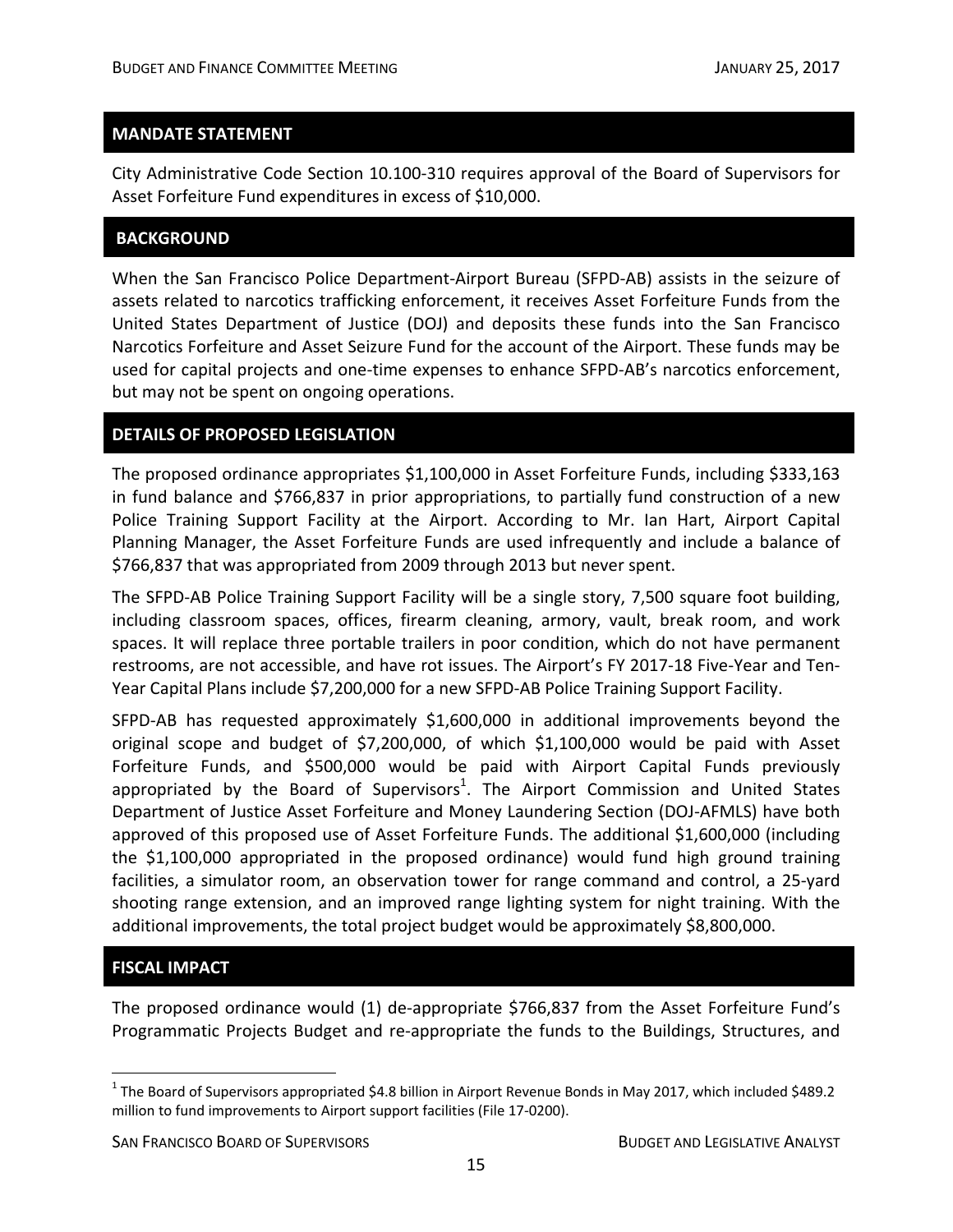City Administrative Code Section 10.100‐310 requires approval of the Board of Supervisors for Asset Forfeiture Fund expenditures in excess of \$10,000.

#### **BACKGROUND**

When the San Francisco Police Department‐Airport Bureau (SFPD‐AB) assists in the seizure of assets related to narcotics trafficking enforcement, it receives Asset Forfeiture Funds from the United States Department of Justice (DOJ) and deposits these funds into the San Francisco Narcotics Forfeiture and Asset Seizure Fund for the account of the Airport. These funds may be used for capital projects and one‐time expenses to enhance SFPD‐AB's narcotics enforcement, but may not be spent on ongoing operations.

#### **DETAILS OF PROPOSED LEGISLATION**

The proposed ordinance appropriates \$1,100,000 in Asset Forfeiture Funds, including \$333,163 in fund balance and \$766,837 in prior appropriations, to partially fund construction of a new Police Training Support Facility at the Airport. According to Mr. Ian Hart, Airport Capital Planning Manager, the Asset Forfeiture Funds are used infrequently and include a balance of \$766,837 that was appropriated from 2009 through 2013 but never spent.

The SFPD-AB Police Training Support Facility will be a single story, 7,500 square foot building, including classroom spaces, offices, firearm cleaning, armory, vault, break room, and work spaces. It will replace three portable trailers in poor condition, which do not have permanent restrooms, are not accessible, and have rot issues. The Airport's FY 2017‐18 Five‐Year and Ten‐ Year Capital Plans include \$7,200,000 for a new SFPD-AB Police Training Support Facility.

SFPD‐AB has requested approximately \$1,600,000 in additional improvements beyond the original scope and budget of \$7,200,000, of which \$1,100,000 would be paid with Asset Forfeiture Funds, and \$500,000 would be paid with Airport Capital Funds previously appropriated by the Board of Supervisors<sup>1</sup>. The Airport Commission and United States Department of Justice Asset Forfeiture and Money Laundering Section (DOJ‐AFMLS) have both approved of this proposed use of Asset Forfeiture Funds. The additional \$1,600,000 (including the \$1,100,000 appropriated in the proposed ordinance) would fund high ground training facilities, a simulator room, an observation tower for range command and control, a 25‐yard shooting range extension, and an improved range lighting system for night training. With the additional improvements, the total project budget would be approximately \$8,800,000.

# **FISCAL IMPACT**

1

The proposed ordinance would (1) de-appropriate \$766,837 from the Asset Forfeiture Fund's Programmatic Projects Budget and re‐appropriate the funds to the Buildings, Structures, and

SAN FRANCISCO BOARD OF SUPERVISORS **BUDGET AND LEGISLATIVE ANALYST** 

 $1$  The Board of Supervisors appropriated \$4.8 billion in Airport Revenue Bonds in May 2017, which included \$489.2 million to fund improvements to Airport support facilities (File 17‐0200).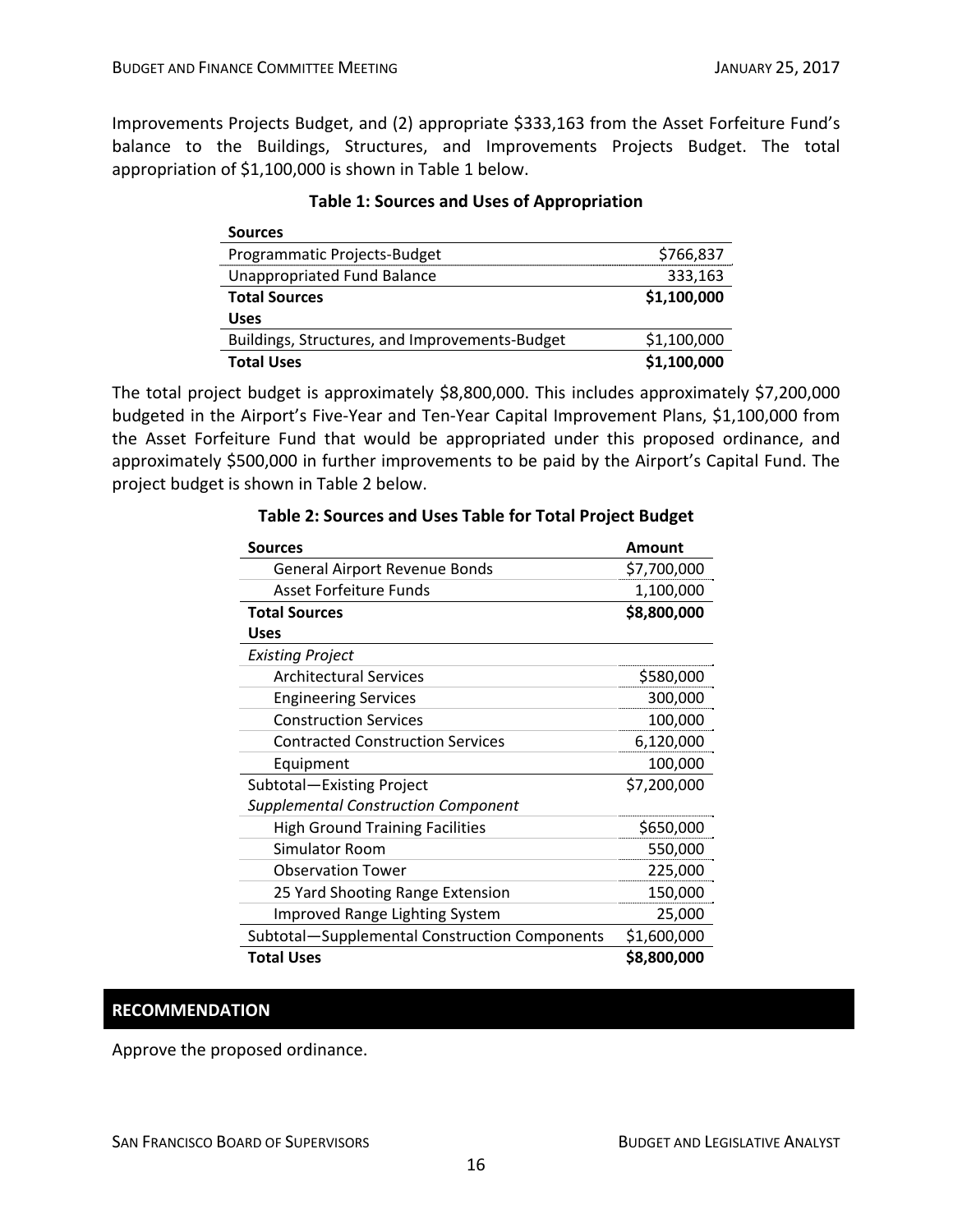Improvements Projects Budget, and (2) appropriate \$333,163 from the Asset Forfeiture Fund's balance to the Buildings, Structures, and Improvements Projects Budget. The total appropriation of \$1,100,000 is shown in Table 1 below.

| <b>Sources</b>                                 |             |
|------------------------------------------------|-------------|
| Programmatic Projects-Budget                   | \$766,837   |
| <b>Unappropriated Fund Balance</b>             | 333,163     |
| <b>Total Sources</b>                           | \$1,100,000 |
| <b>Uses</b>                                    |             |
| Buildings, Structures, and Improvements-Budget | \$1,100,000 |
| <b>Total Uses</b>                              | \$1,100,000 |

#### **Table 1: Sources and Uses of Appropriation**

The total project budget is approximately \$8,800,000. This includes approximately \$7,200,000 budgeted in the Airport's Five‐Year and Ten‐Year Capital Improvement Plans, \$1,100,000 from the Asset Forfeiture Fund that would be appropriated under this proposed ordinance, and approximately \$500,000 in further improvements to be paid by the Airport's Capital Fund. The project budget is shown in Table 2 below.

| <b>Sources</b>                                | <b>Amount</b> |
|-----------------------------------------------|---------------|
| General Airport Revenue Bonds                 | \$7,700,000   |
| <b>Asset Forfeiture Funds</b>                 | 1,100,000     |
| <b>Total Sources</b>                          | \$8,800,000   |
| Uses                                          |               |
| <b>Existing Project</b>                       |               |
| <b>Architectural Services</b>                 | \$580,000     |
| <b>Engineering Services</b>                   | 300,000       |
| <b>Construction Services</b>                  | 100,000       |
| <b>Contracted Construction Services</b>       | 6,120,000     |
| Equipment                                     | 100,000       |
| Subtotal-Existing Project                     | \$7,200,000   |
| <b>Supplemental Construction Component</b>    |               |
| <b>High Ground Training Facilities</b>        | \$650,000     |
| <b>Simulator Room</b>                         | 550,000       |
| <b>Observation Tower</b>                      | 225,000       |
| 25 Yard Shooting Range Extension              | 150,000       |
| <b>Improved Range Lighting System</b>         | 25,000        |
| Subtotal-Supplemental Construction Components | \$1,600,000   |
| <b>Total Uses</b>                             | \$8,800,000   |

#### **Table 2: Sources and Uses Table for Total Project Budget**

#### **RECOMMENDATION**

Approve the proposed ordinance.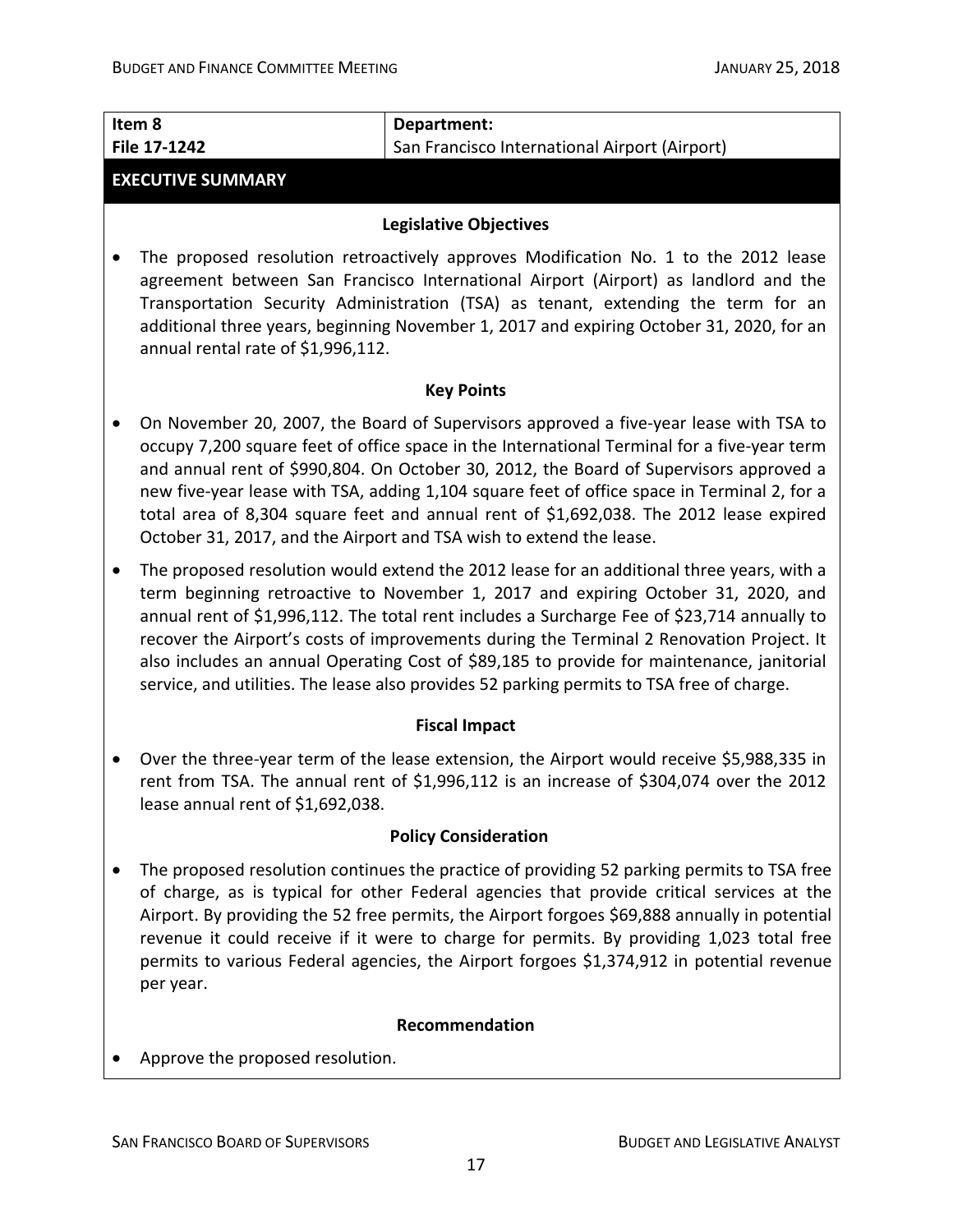| Item 8<br>File 17-1242                                                                                                                                                                                                                                                                                                                                                                                                                                                                                                                                                           | Department:<br>San Francisco International Airport (Airport)                                                                                                                                                                                                                                                                                                                                                                                                                                                                                   |  |  |  |
|----------------------------------------------------------------------------------------------------------------------------------------------------------------------------------------------------------------------------------------------------------------------------------------------------------------------------------------------------------------------------------------------------------------------------------------------------------------------------------------------------------------------------------------------------------------------------------|------------------------------------------------------------------------------------------------------------------------------------------------------------------------------------------------------------------------------------------------------------------------------------------------------------------------------------------------------------------------------------------------------------------------------------------------------------------------------------------------------------------------------------------------|--|--|--|
| <b>EXECUTIVE SUMMARY</b>                                                                                                                                                                                                                                                                                                                                                                                                                                                                                                                                                         |                                                                                                                                                                                                                                                                                                                                                                                                                                                                                                                                                |  |  |  |
| <b>Legislative Objectives</b>                                                                                                                                                                                                                                                                                                                                                                                                                                                                                                                                                    |                                                                                                                                                                                                                                                                                                                                                                                                                                                                                                                                                |  |  |  |
| The proposed resolution retroactively approves Modification No. 1 to the 2012 lease<br>agreement between San Francisco International Airport (Airport) as landlord and the<br>Transportation Security Administration (TSA) as tenant, extending the term for an<br>additional three years, beginning November 1, 2017 and expiring October 31, 2020, for an<br>annual rental rate of \$1,996,112.                                                                                                                                                                                |                                                                                                                                                                                                                                                                                                                                                                                                                                                                                                                                                |  |  |  |
|                                                                                                                                                                                                                                                                                                                                                                                                                                                                                                                                                                                  | <b>Key Points</b>                                                                                                                                                                                                                                                                                                                                                                                                                                                                                                                              |  |  |  |
|                                                                                                                                                                                                                                                                                                                                                                                                                                                                                                                                                                                  | On November 20, 2007, the Board of Supervisors approved a five-year lease with TSA to<br>occupy 7,200 square feet of office space in the International Terminal for a five-year term<br>and annual rent of \$990,804. On October 30, 2012, the Board of Supervisors approved a<br>new five-year lease with TSA, adding 1,104 square feet of office space in Terminal 2, for a<br>total area of 8,304 square feet and annual rent of \$1,692,038. The 2012 lease expired<br>October 31, 2017, and the Airport and TSA wish to extend the lease. |  |  |  |
| The proposed resolution would extend the 2012 lease for an additional three years, with a<br>$\bullet$<br>term beginning retroactive to November 1, 2017 and expiring October 31, 2020, and<br>annual rent of \$1,996,112. The total rent includes a Surcharge Fee of \$23,714 annually to<br>recover the Airport's costs of improvements during the Terminal 2 Renovation Project. It<br>also includes an annual Operating Cost of \$89,185 to provide for maintenance, janitorial<br>service, and utilities. The lease also provides 52 parking permits to TSA free of charge. |                                                                                                                                                                                                                                                                                                                                                                                                                                                                                                                                                |  |  |  |
| <b>Fiscal Impact</b>                                                                                                                                                                                                                                                                                                                                                                                                                                                                                                                                                             |                                                                                                                                                                                                                                                                                                                                                                                                                                                                                                                                                |  |  |  |
| lease annual rent of \$1,692,038.                                                                                                                                                                                                                                                                                                                                                                                                                                                                                                                                                | Over the three-year term of the lease extension, the Airport would receive \$5,988,335 in<br>rent from TSA. The annual rent of \$1,996,112 is an increase of \$304,074 over the 2012                                                                                                                                                                                                                                                                                                                                                           |  |  |  |
| <b>Policy Consideration</b>                                                                                                                                                                                                                                                                                                                                                                                                                                                                                                                                                      |                                                                                                                                                                                                                                                                                                                                                                                                                                                                                                                                                |  |  |  |
| per year.                                                                                                                                                                                                                                                                                                                                                                                                                                                                                                                                                                        | The proposed resolution continues the practice of providing 52 parking permits to TSA free<br>of charge, as is typical for other Federal agencies that provide critical services at the<br>Airport. By providing the 52 free permits, the Airport forgoes \$69,888 annually in potential<br>revenue it could receive if it were to charge for permits. By providing 1,023 total free<br>permits to various Federal agencies, the Airport forgoes \$1,374,912 in potential revenue                                                              |  |  |  |
| Recommendation                                                                                                                                                                                                                                                                                                                                                                                                                                                                                                                                                                   |                                                                                                                                                                                                                                                                                                                                                                                                                                                                                                                                                |  |  |  |
| Approve the proposed resolution.                                                                                                                                                                                                                                                                                                                                                                                                                                                                                                                                                 |                                                                                                                                                                                                                                                                                                                                                                                                                                                                                                                                                |  |  |  |
|                                                                                                                                                                                                                                                                                                                                                                                                                                                                                                                                                                                  |                                                                                                                                                                                                                                                                                                                                                                                                                                                                                                                                                |  |  |  |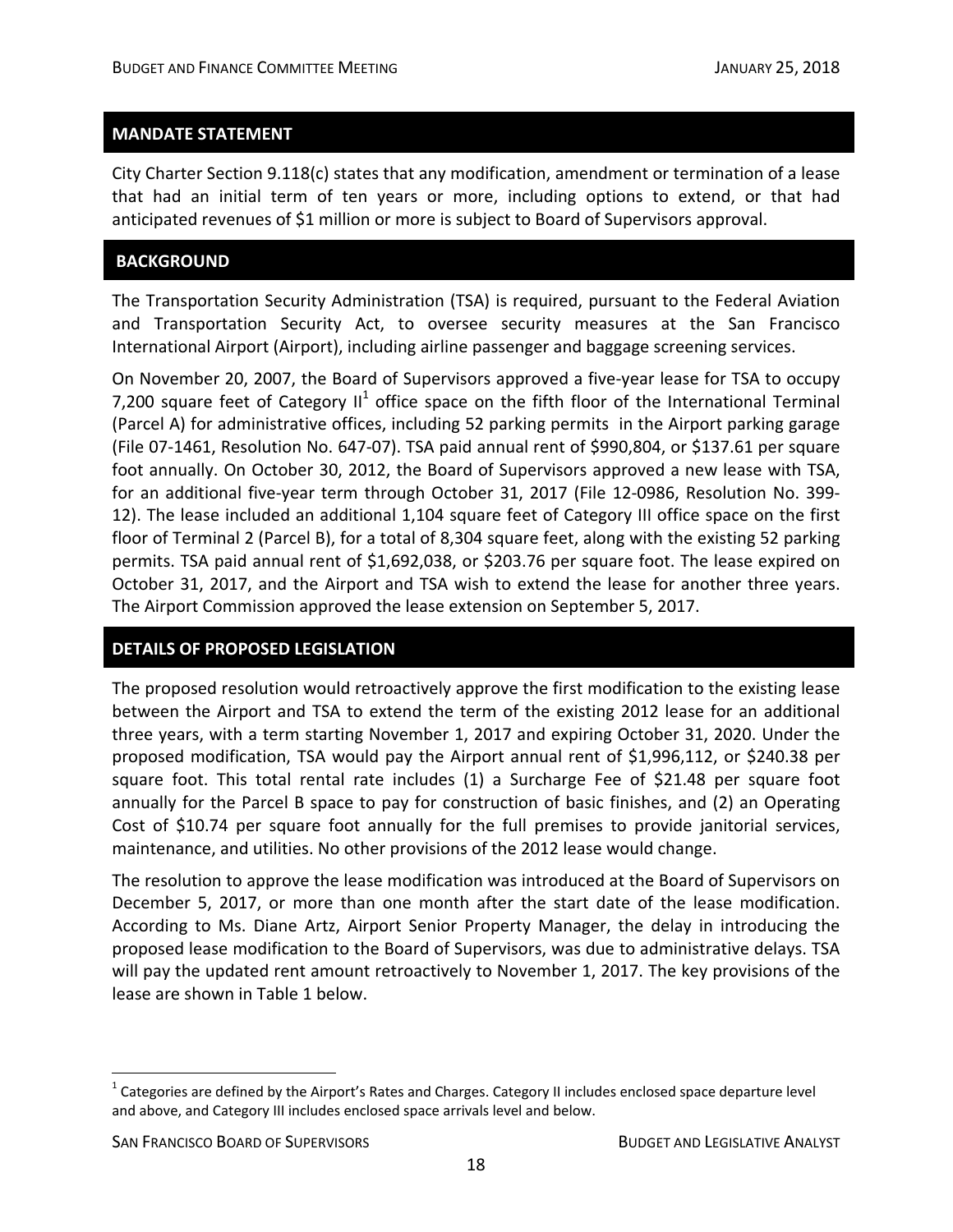City Charter Section 9.118(c) states that any modification, amendment or termination of a lease that had an initial term of ten years or more, including options to extend, or that had anticipated revenues of \$1 million or more is subject to Board of Supervisors approval.

#### **BACKGROUND**

The Transportation Security Administration (TSA) is required, pursuant to the Federal Aviation and Transportation Security Act, to oversee security measures at the San Francisco International Airport (Airport), including airline passenger and baggage screening services.

On November 20, 2007, the Board of Supervisors approved a five‐year lease for TSA to occupy 7,200 square feet of Category  $II^1$  office space on the fifth floor of the International Terminal (Parcel A) for administrative offices, including 52 parking permits in the Airport parking garage (File 07‐1461, Resolution No. 647‐07). TSA paid annual rent of \$990,804, or \$137.61 per square foot annually. On October 30, 2012, the Board of Supervisors approved a new lease with TSA, for an additional five‐year term through October 31, 2017 (File 12‐0986, Resolution No. 399‐ 12). The lease included an additional 1,104 square feet of Category III office space on the first floor of Terminal 2 (Parcel B), for a total of 8,304 square feet, along with the existing 52 parking permits. TSA paid annual rent of \$1,692,038, or \$203.76 per square foot. The lease expired on October 31, 2017, and the Airport and TSA wish to extend the lease for another three years. The Airport Commission approved the lease extension on September 5, 2017.

#### **DETAILS OF PROPOSED LEGISLATION**

The proposed resolution would retroactively approve the first modification to the existing lease between the Airport and TSA to extend the term of the existing 2012 lease for an additional three years, with a term starting November 1, 2017 and expiring October 31, 2020. Under the proposed modification, TSA would pay the Airport annual rent of \$1,996,112, or \$240.38 per square foot. This total rental rate includes (1) a Surcharge Fee of \$21.48 per square foot annually for the Parcel B space to pay for construction of basic finishes, and (2) an Operating Cost of \$10.74 per square foot annually for the full premises to provide janitorial services, maintenance, and utilities. No other provisions of the 2012 lease would change.

The resolution to approve the lease modification was introduced at the Board of Supervisors on December 5, 2017, or more than one month after the start date of the lease modification. According to Ms. Diane Artz, Airport Senior Property Manager, the delay in introducing the proposed lease modification to the Board of Supervisors, was due to administrative delays. TSA will pay the updated rent amount retroactively to November 1, 2017. The key provisions of the lease are shown in Table 1 below.

 $\overline{a}$ 

 $1$  Categories are defined by the Airport's Rates and Charges. Category II includes enclosed space departure level and above, and Category III includes enclosed space arrivals level and below.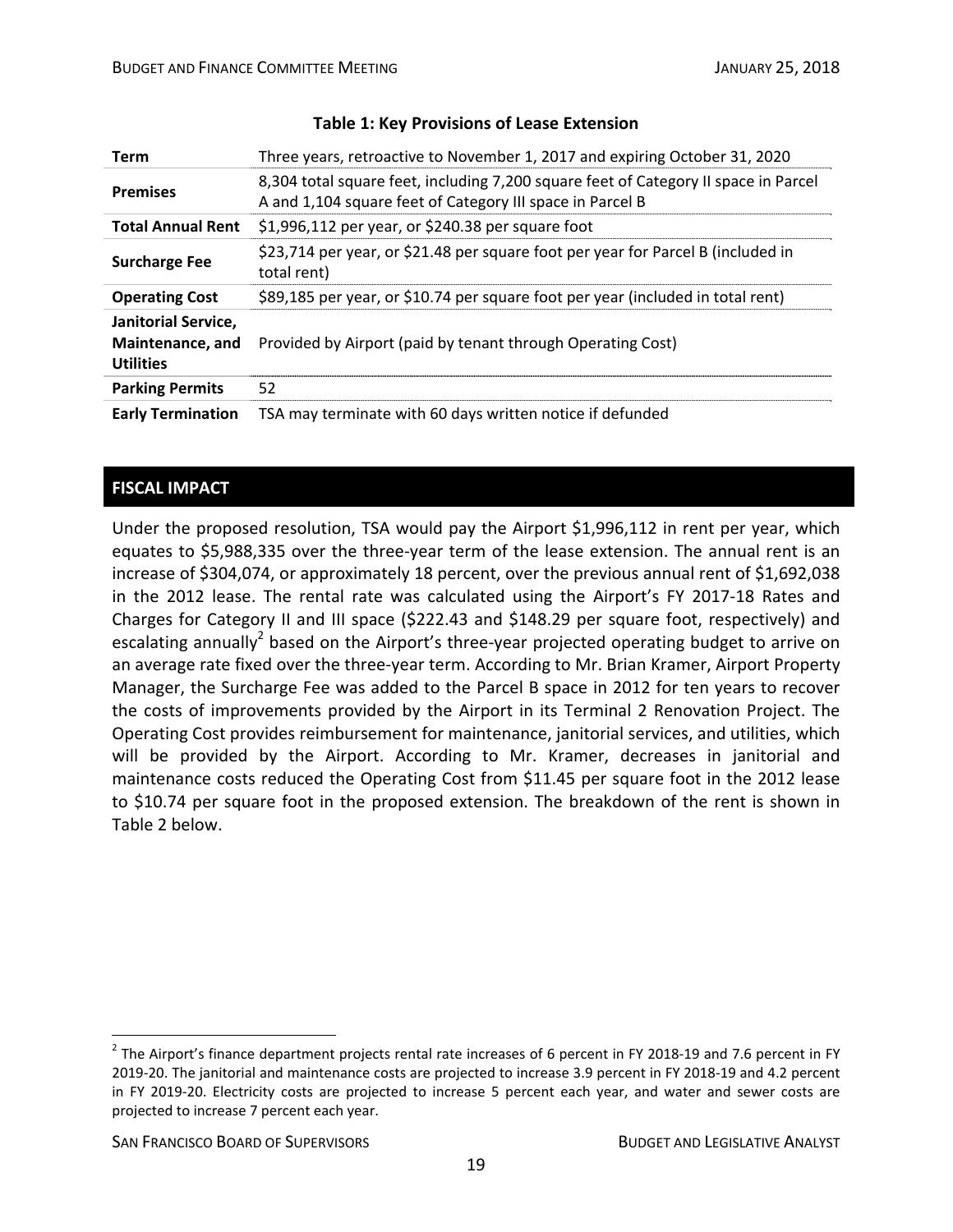| <b>Term</b>                                                        | Three years, retroactive to November 1, 2017 and expiring October 31, 2020                                                                       |
|--------------------------------------------------------------------|--------------------------------------------------------------------------------------------------------------------------------------------------|
| <b>Premises</b>                                                    | 8,304 total square feet, including 7,200 square feet of Category II space in Parcel<br>A and 1,104 square feet of Category III space in Parcel B |
| <b>Total Annual Rent</b>                                           | \$1,996,112 per year, or \$240.38 per square foot                                                                                                |
| <b>Surcharge Fee</b>                                               | \$23,714 per year, or \$21.48 per square foot per year for Parcel B (included in<br>total rent)                                                  |
| <b>Operating Cost</b>                                              | \$89,185 per year, or \$10.74 per square foot per year (included in total rent)                                                                  |
| <b>Janitorial Service,</b><br>Maintenance, and<br><b>Utilities</b> | Provided by Airport (paid by tenant through Operating Cost)                                                                                      |
| <b>Parking Permits</b>                                             | 52                                                                                                                                               |
| <b>Early Termination</b>                                           | TSA may terminate with 60 days written notice if defunded                                                                                        |

#### **Table 1: Key Provisions of Lease Extension**

# **FISCAL IMPACT**

Under the proposed resolution, TSA would pay the Airport \$1,996,112 in rent per year, which equates to \$5,988,335 over the three-year term of the lease extension. The annual rent is an increase of \$304,074, or approximately 18 percent, over the previous annual rent of \$1,692,038 in the 2012 lease. The rental rate was calculated using the Airport's FY 2017‐18 Rates and Charges for Category II and III space (\$222.43 and \$148.29 per square foot, respectively) and escalating annually<sup>2</sup> based on the Airport's three-year projected operating budget to arrive on an average rate fixed over the three‐year term. According to Mr. Brian Kramer, Airport Property Manager, the Surcharge Fee was added to the Parcel B space in 2012 for ten years to recover the costs of improvements provided by the Airport in its Terminal 2 Renovation Project. The Operating Cost provides reimbursement for maintenance, janitorial services, and utilities, which will be provided by the Airport. According to Mr. Kramer, decreases in janitorial and maintenance costs reduced the Operating Cost from \$11.45 per square foot in the 2012 lease to \$10.74 per square foot in the proposed extension. The breakdown of the rent is shown in Table 2 below.

 $\overline{a}$ 

 $2$  The Airport's finance department projects rental rate increases of 6 percent in FY 2018-19 and 7.6 percent in FY 2019-20. The janitorial and maintenance costs are projected to increase 3.9 percent in FY 2018-19 and 4.2 percent in FY 2019‐20. Electricity costs are projected to increase 5 percent each year, and water and sewer costs are projected to increase 7 percent each year.